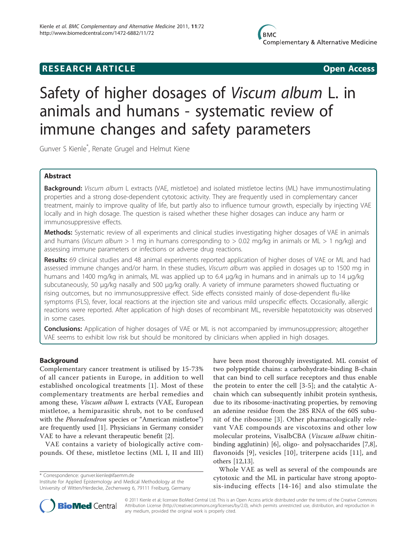## **RESEARCH ARTICLE Example 2018 CONSIDERING ACCESS**

# Safety of higher dosages of Viscum album L. in animals and humans - systematic review of immune changes and safety parameters

Gunver S Kienle\* , Renate Grugel and Helmut Kiene

## Abstract

Background: Viscum album L extracts (VAE, mistletoe) and isolated mistletoe lectins (ML) have immunostimulating properties and a strong dose-dependent cytotoxic activity. They are frequently used in complementary cancer treatment, mainly to improve quality of life, but partly also to influence tumour growth, especially by injecting VAE locally and in high dosage. The question is raised whether these higher dosages can induce any harm or immunosuppressive effects.

Methods: Systematic review of all experiments and clinical studies investigating higher dosages of VAE in animals and humans (Viscum album > 1 mg in humans corresponding to > 0.02 mg/kg in animals or ML > 1 ng/kg) and assessing immune parameters or infections or adverse drug reactions.

Results: 69 clinical studies and 48 animal experiments reported application of higher doses of VAE or ML and had assessed immune changes and/or harm. In these studies, Viscum album was applied in dosages up to 1500 mg in humans and 1400 mg/kg in animals, ML was applied up to 6.4 μg/kg in humans and in animals up to 14 μg/kg subcutaneously, 50 μg/kg nasally and 500 μg/kg orally. A variety of immune parameters showed fluctuating or rising outcomes, but no immunosuppressive effect. Side effects consisted mainly of dose-dependent flu-like symptoms (FLS), fever, local reactions at the injection site and various mild unspecific effects. Occasionally, allergic reactions were reported. After application of high doses of recombinant ML, reversible hepatotoxicity was observed in some cases.

**Conclusions:** Application of higher dosages of VAE or ML is not accompanied by immunosuppression; altogether VAE seems to exhibit low risk but should be monitored by clinicians when applied in high dosages.

## Background

Complementary cancer treatment is utilised by 15-73% of all cancer patients in Europe, in addition to well established oncological treatments [\[1\]](#page-11-0). Most of these complementary treatments are herbal remedies and among these, *Viscum album* L extracts (VAE, European mistletoe, a hemiparasitic shrub, not to be confused with the *Phoradendron* species or "American mistletoe") are frequently used [\[1](#page-11-0)]. Physicians in Germany consider VAE to have a relevant therapeutic benefit [[2\]](#page-11-0).

VAE contains a variety of biologically active compounds. Of these, mistletoe lectins (ML I, II and III)

\* Correspondence: [gunver.kienle@ifaemm.de](mailto:gunver.kienle@ifaemm.de)

have been most thoroughly investigated. ML consist of two polypeptide chains: a carbohydrate-binding B-chain that can bind to cell surface receptors and thus enable the protein to enter the cell [[3](#page-11-0)-[5\]](#page-11-0); and the catalytic Achain which can subsequently inhibit protein synthesis, due to its ribosome-inactivating properties, by removing an adenine residue from the 28S RNA of the 60S subunit of the ribosome [\[3](#page-11-0)]. Other pharmacologically relevant VAE compounds are viscotoxins and other low molecular proteins, VisalbCBA (Viscum album chitinbinding agglutinin) [[6](#page-11-0)], oligo- and polysaccharides [[7,8](#page-11-0)], flavonoids [[9\]](#page-11-0), vesicles [[10\]](#page-11-0), triterpene acids [\[11\]](#page-11-0), and others [\[12,13](#page-11-0)].

Whole VAE as well as several of the compounds are cytotoxic and the ML in particular have strong apoptosis-inducing effects [\[14](#page-11-0)-[16](#page-11-0)] and also stimulate the



© 2011 Kienle et al; licensee BioMed Central Ltd. This is an Open Access article distributed under the terms of the Creative Commons Attribution License [\(http://creativecommons.org/licenses/by/2.0](http://creativecommons.org/licenses/by/2.0)), which permits unrestricted use, distribution, and reproduction in any medium, provided the original work is properly cited.

Institute for Applied Epistemology and Medical Methodology at the University of Witten/Herdecke, Zechenweg 6, 79111 Freiburg, Germany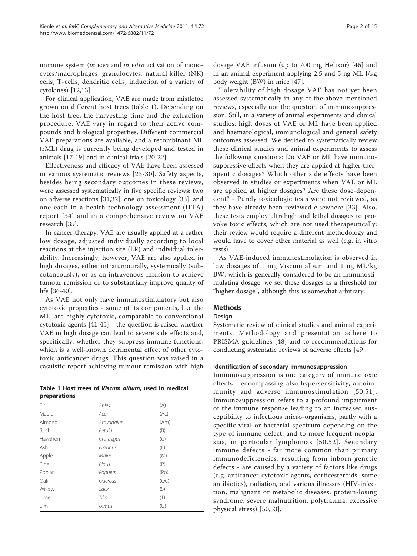immune system (in vivo and in vitro activation of monocytes/macrophages, granulocytes, natural killer (NK) cells, T-cells, dendritic cells, induction of a variety of cytokines) [\[12,13\]](#page-11-0).

For clinical application, VAE are made from mistletoe grown on different host trees (table 1). Depending on the host tree, the harvesting time and the extraction procedure, VAE vary in regard to their active compounds and biological properties. Different commercial VAE preparations are available, and a recombinant ML (rML) drug is currently being developed and tested in animals [\[17-19](#page-12-0)] and in clinical trials [\[20](#page-12-0)-[22\]](#page-12-0).

Effectiveness and efficacy of VAE have been assessed in various systematic reviews [[23](#page-12-0)-[30\]](#page-12-0). Safety aspects, besides being secondary outcomes in these reviews, were assessed systematically in five specific reviews: two on adverse reactions [\[31,32\]](#page-12-0), one on toxicology [\[33](#page-12-0)], and one each in a health technology assessment (HTA) report [[34\]](#page-12-0) and in a comprehensive review on VAE research [[35\]](#page-12-0).

In cancer therapy, VAE are usually applied at a rather low dosage, adjusted individually according to local reactions at the injection site (LR) and individual tolerability. Increasingly, however, VAE are also applied in high dosages, either intratumourally, systemically (subcutaneously), or as an intravenous infusion to achieve tumour remission or to substantially improve quality of life [\[36](#page-12-0)-[40](#page-12-0)].

As VAE not only have immunostimulatory but also cytotoxic properties - some of its components, like the ML, are highly cytotoxic, comparable to conventional cytotoxic agents [\[41](#page-12-0)-[45\]](#page-12-0) - the question is raised whether VAE in high dosage can lead to severe side effects and, specifically, whether they suppress immune functions, which is a well-known detrimental effect of other cytotoxic anticancer drugs. This question was raised in a casuistic report achieving tumour remission with high

|              |  |  |  | Table 1 Host trees of <i>Viscum album</i> , used in medical |
|--------------|--|--|--|-------------------------------------------------------------|
| preparations |  |  |  |                                                             |

| Fir          | Abies     | (A)               |
|--------------|-----------|-------------------|
| Maple        | Acer      | (Ac)              |
| Almond       | Amygdalus | (Am)              |
| <b>Birch</b> | Betula    | (B)               |
| Hawthorn     | Crataegus | (C)               |
| Ash          | Fraxinus  | (F)               |
| Apple        | Malus     | (M)               |
| Pine         | Pinus     | (P)               |
| Poplar       | Populus   | (P <sub>O</sub> ) |
| Oak          | Quercus   | (Qu)              |
| Willow       | Salix     | (S)               |
| Lime         | Tilia     | $($ T             |
| Elm          | Ulmus     | (U)               |

dosage VAE infusion (up to 700 mg Helixor) [[46](#page-12-0)] and in an animal experiment applying 2.5 and 5 ng ML I/kg body weight (BW) in mice [\[47\]](#page-12-0).

Tolerability of high dosage VAE has not yet been assessed systematically in any of the above mentioned reviews, especially not the question of immunosuppression. Still, in a variety of animal experiments and clinical studies, high doses of VAE or ML have been applied and haematological, immunological and general safety outcomes assessed. We decided to systematically review these clinical studies and animal experiments to assess the following questions: Do VAE or ML have immunosuppressive effects when they are applied at higher therapeutic dosages? Which other side effects have been observed in studies or experiments when VAE or ML are applied at higher dosages? Are these dose-dependent? - Purely toxicologic tests were not reviewed, as they have already been reviewed elsewhere [[33\]](#page-12-0). Also, these tests employ ultrahigh and lethal dosages to provoke toxic effects, which are not used therapeutically; their review would require a different methodology and would have to cover other material as well (e.g. in vitro tests).

As VAE-induced immunostimulation is observed in low dosages of 1 mg Viscum album and 1 ng ML/kg BW, which is generally considered to be an immunostimulating dosage, we set these dosages as a threshold for "higher dosage", although this is somewhat arbitrary.

## Methods

## Design

Systematic review of clinical studies and animal experiments. Methodology and presentation adhere to PRISMA guidelines [\[48\]](#page-12-0) and to recommendations for conducting systematic reviews of adverse effects [[49](#page-12-0)].

## Identification of secondary immunosuppression

Immunosuppression is one category of immunotoxic effects - encompassing also hypersensitivity, autoimmunity and adverse immunostimulation [[50](#page-12-0),[51\]](#page-12-0). Immunosuppression refers to a profound impairment of the immune response leading to an increased susceptibility to infectious micro-organisms, partly with a specific viral or bacterial spectrum depending on the type of immune defect, and to more frequent neoplasias, in particular lymphomas [[50,52](#page-12-0)]. Secondary immune defects - far more common than primary immunodeficiencies, resulting from inborn genetic defects - are caused by a variety of factors like drugs (e.g. anticancer cytotoxic agents, corticesteroids, some antibiotics), radiation, and various illnesses (HIV-infection, malignant or metabolic diseases, protein-losing syndrome, severe malnutrition, polytrauma, excessive physical stress) [\[50](#page-12-0),[53](#page-12-0)].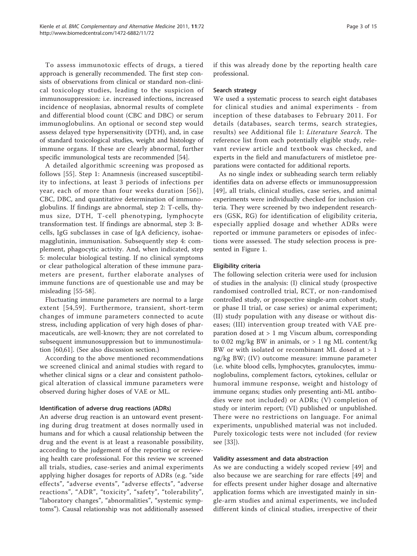To assess immunotoxic effects of drugs, a tiered approach is generally recommended. The first step consists of observations from clinical or standard non-clinical toxicology studies, leading to the suspicion of immunosuppression: i.e. increased infections, increased incidence of neoplasias, abnormal results of complete and differential blood count (CBC and DBC) or serum immunoglobulins. An optional or second step would assess delayed type hypersensitivity (DTH), and, in case of standard toxicological studies, weight and histology of immune organs. If these are clearly abnormal, further specific immunological tests are recommended [[54](#page-12-0)].

A detailed algorithmic screening was proposed as follows [[55\]](#page-12-0). Step 1: Anamnesis (increased susceptibility to infections, at least 3 periods of infections per year, each of more than four weeks duration [[56](#page-12-0)]), CBC, DBC, and quantitative determination of immunoglobulins. If findings are abnormal, step 2: T-cells, thymus size, DTH, T-cell phenotyping, lymphocyte transformation test. If findings are abnormal, step 3: Bcells, IgG subclasses in case of IgA deficiency, isohaemagglutinin, immunisation. Subsequently step 4: complement, phagocytic activity. And, when indicated, step 5: molecular biological testing. If no clinical symptoms or clear pathological alteration of these immune parameters are present, further elaborate analyses of immune functions are of questionable use and may be misleading [[55-58](#page-12-0)].

Fluctuating immune parameters are normal to a large extent [[54](#page-12-0),[59\]](#page-12-0). Furthermore, transient, short-term changes of immune parameters connected to acute stress, including application of very high doses of pharmaceuticals, are well-known; they are not correlated to subsequent immunosuppression but to immunostimulation [\[60](#page-12-0)[,61\]](#page-13-0). (See also discussion section.)

According to the above mentioned recommendations we screened clinical and animal studies with regard to whether clinical signs or a clear and consistent pathological alteration of classical immune parameters were observed during higher doses of VAE or ML.

#### Identification of adverse drug reactions (ADRs)

An adverse drug reaction is an untoward event presenting during drug treatment at doses normally used in humans and for which a causal relationship between the drug and the event is at least a reasonable possibility, according to the judgement of the reporting or reviewing health care professional. For this review we screened all trials, studies, case-series and animal experiments applying higher dosages for reports of ADRs (e.g. "side effects", "adverse events", "adverse effects", "adverse reactions", "ADR", "toxicity", "safety", "tolerability", "laboratory changes", "abnormalities", "systemic symptoms"). Causal relationship was not additionally assessed if this was already done by the reporting health care professional.

#### Search strategy

We used a systematic process to search eight databases for clinical studies and animal experiments - from inception of these databases to February 2011. For details (databases, search terms, search strategies, results) see Additional file [1:](#page-11-0) Literature Search. The reference list from each potentially eligible study, relevant review article and textbook was checked, and experts in the field and manufacturers of mistletoe preparations were contacted for additional reports.

As no single index or subheading search term reliably identifies data on adverse effects or immunosuppression [[49](#page-12-0)], all trials, clinical studies, case series, and animal experiments were individually checked for inclusion criteria. They were screened by two independent researchers (GSK, RG) for identification of eligibility criteria, especially applied dosage and whether ADRs were reported or immune parameters or episodes of infections were assessed. The study selection process is presented in Figure [1](#page-3-0).

#### Eligibility criteria

The following selection criteria were used for inclusion of studies in the analysis: (I) clinical study (prospective randomised controlled trial, RCT, or non-randomised controlled study, or prospective single-arm cohort study, or phase II trial, or case series) or animal experiment; (II) study population with any disease or without diseases; (III) intervention group treated with VAE preparation dosed at > 1 mg Viscum album, corresponding to 0.02 mg/kg BW in animals, or  $> 1$  ng ML content/kg BW or with isolated or recombinant ML dosed at > 1 ng/kg BW; (IV) outcome measure: immune parameter (i.e. white blood cells, lymphocytes, granulocytes, immunoglobulins, complement factors, cytokines, cellular or humoral immune response, weight and histology of immune organs; studies only presenting anti-ML antibodies were not included) or ADRs; (V) completion of study or interim report; (VI) published or unpublished. There were no restrictions on language. For animal experiments, unpublished material was not included. Purely toxicologic tests were not included (for review see [[33](#page-12-0)]).

#### Validity assessment and data abstraction

As we are conducting a widely scoped review [\[49](#page-12-0)] and also because we are searching for rare effects [\[49](#page-12-0)] and for effects present under higher dosage and alternative application forms which are investigated mainly in single-arm studies and animal experiments, we included different kinds of clinical studies, irrespective of their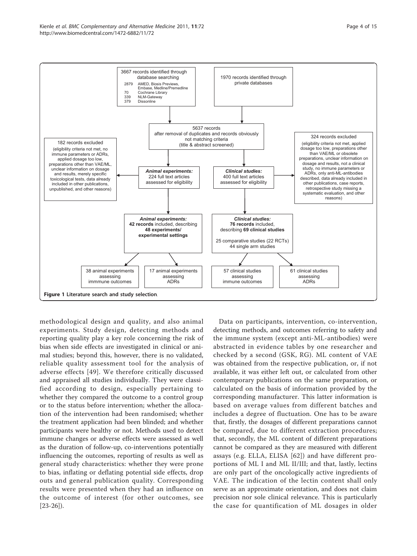<span id="page-3-0"></span>

methodological design and quality, and also animal experiments. Study design, detecting methods and reporting quality play a key role concerning the risk of bias when side effects are investigated in clinical or animal studies; beyond this, however, there is no validated, reliable quality assessment tool for the analysis of adverse effects [\[49\]](#page-12-0). We therefore critically discussed and appraised all studies individually. They were classified according to design, especially pertaining to whether they compared the outcome to a control group or to the status before intervention; whether the allocation of the intervention had been randomised; whether the treatment application had been blinded; and whether participants were healthy or not. Methods used to detect immune changes or adverse effects were assessed as well as the duration of follow-up, co-interventions potentially influencing the outcomes, reporting of results as well as general study characteristics: whether they were prone to bias, inflating or deflating potential side effects, drop outs and general publication quality. Corresponding results were presented when they had an influence on the outcome of interest (for other outcomes, see  $[23-26]$  $[23-26]$ ).

Data on participants, intervention, co-intervention, detecting methods, and outcomes referring to safety and the immune system (except anti-ML-antibodies) were abstracted in evidence tables by one researcher and checked by a second (GSK, RG). ML content of VAE was obtained from the respective publication, or, if not available, it was either left out, or calculated from other contemporary publications on the same preparation, or calculated on the basis of information provided by the corresponding manufacturer. This latter information is based on average values from different batches and includes a degree of fluctuation. One has to be aware that, firstly, the dosages of different preparations cannot be compared, due to different extraction procedures; that, secondly, the ML content of different preparations cannot be compared as they are measured with different assays (e.g. ELLA, ELISA [[62\]](#page-13-0)) and have different proportions of ML I and ML II/III; and that, lastly, lectins are only part of the oncologically active ingredients of VAE. The indication of the lectin content shall only serve as an approximate orientation, and does not claim precision nor sole clinical relevance. This is particularly the case for quantification of ML dosages in older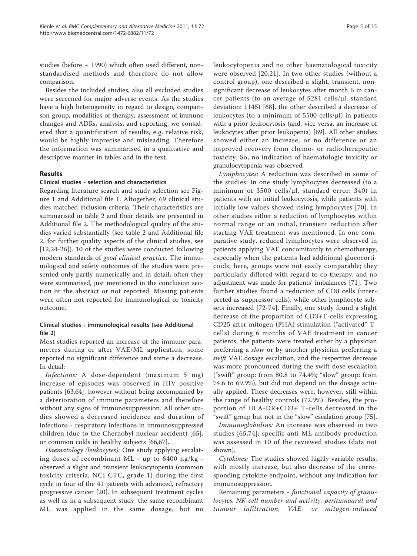studies (before  $\sim$  1990) which often used different, nonstandardised methods and therefore do not allow comparison.

Besides the included studies, also all excluded studies were screened for major adverse events. As the studies have a high heterogeneity in regard to design, comparison group, modalities of therapy, assessment of immune changes and ADRs, analysis, and reporting, we considered that a quantification of results, e.g. relative risk, would be highly imprecise and misleading. Therefore the information was summarised in a qualitative and descriptive manner in tables and in the text.

## Results

#### Clinical studies - selection and characteristics

Regarding literature search and study selection see Figure [1](#page-3-0) and Additional file [1.](#page-11-0) Altogether, 69 clinical studies matched inclusion criteria. Their characteristics are summarised in table [2](#page-5-0) and their details are presented in Additional file [2](#page-11-0). The methodological quality of the studies varied substantially (see table [2](#page-5-0) and Additional file [2,](#page-11-0) for further quality aspects of the clinical studies, see [[12](#page-11-0)[,24](#page-12-0)-[26\]](#page-12-0)). 10 of the studies were conducted following modern standards of good clinical practice. The immunological and safety outcomes of the studies were presented only partly numerically and in detail; often they were summarised, just mentioned in the conclusion section or the abstract or not reported. Missing patients were often not reported for immunological or toxicity outcome.

## Clinical studies - immunological results (see Additional file [2\)](#page-11-0)

Most studies reported an increase of the immune parameters during or after VAE/ML application, some reported no significant difference and some a decrease. In detail:

Infections: A dose-dependent (maximum 5 mg) increase of episodes was observed in HIV positive patients [\[63,64](#page-13-0)], however without being accompanied by a deterioration of immune parameters and therefore without any signs of immunosuppression. All other studies showed a decreased incidence and duration of infections - respiratory infections in immunosuppressed children (due to the Chernobyl nuclear accident) [[65](#page-13-0)], or common colds in healthy subjects [[66,67](#page-13-0)].

Haematology (leukocytes): One study applying escalating doses of recombinant ML - up to 6400 ng/kg observed a slight and transient leukocytopenia (common toxicity criteria, NCI CTC, grade 1) during the first cycle in four of the 41 patients with advanced, refractory progressive cancer [[20\]](#page-12-0). In subsequent treatment cycles as well as in a subsequent study, the same recombinant ML was applied in the same dosage, but no leukocytopenia and no other haematological toxicity were observed [[20,21](#page-12-0)]. In two other studies (without a control group), one described a slight, transient, nonsignificant decrease of leukocytes after month 6 in cancer patients (to an average of 5281 cells/μl, standard deviation: 1145) [[68\]](#page-13-0), the other described a decrease of leukocytes (to a minimum of  $5500$  cells/ $\mu$ l) in patients with a prior leukocytosis (and, vice versa, an increase of leukocytes after prior leukopenia) [[69\]](#page-13-0). All other studies showed either an increase, or no difference or an improved recovery from chemo- or radiotherapeutic toxicity. So, no indication of haematologic toxicity or granulocytopenia was observed.

Lymphocytes: A reduction was described in some of the studies: In one study lymphocytes decreased (to a minimum of 3500 cells/μl, standard error: 340) in patients with an initial leukocytosis, while patients with initially low values showed rising lymphocytes [\[70\]](#page-13-0). In other studies either a reduction of lymphocytes within normal range or an initial, transient reduction after starting VAE treatment was mentioned. In one comparative study, reduced lymphocytes were observed in patients applying VAE concomitantly to chemotherapy, especially when the patients had additional glucocorticoids; here, groups were not easily comparable; they particularly differed with regard to co-therapy, and no adjustment was made for patients' imbalances [[71](#page-13-0)]. Two further studies found a reduction of CD8 cells (interpreted as suppressor cells), while other lymphocyte subsets increased [[72-74](#page-13-0)]. Finally, one study found a slight decrease of the proportion of CD3+T-cells expressing CD25 after mitogen (PHA) stimulation ("activated" Tcells) during 6 months of VAE treatment in cancer patients; the patients were treated either by a physician preferring a *slow* or by another physician preferring a swift VAE dosage escalation, and the respective decrease was more pronounced during the swift dose escalation ("swift" group: from 80.8 to 74.4%; "slow" group: from 74.6 to 69.9%), but did not depend on the dosage actually applied. These decreases were, however, still within the range of healthy controls (72.9%). Besides, the proportion of HLA-DR+CD3+ T-cells decreased in the "swift" group but not in the "slow" escalation group [[75](#page-13-0)].

Immunoglobulins: An increase was observed in two studies [[65](#page-13-0),[74\]](#page-13-0); specific anti-ML-antibody production was assessed in 10 of the reviewed studies (data not shown).

Cytokines: The studies showed highly variable results, with mostly increase, but also decrease of the corresponding cytokine endpoint, without any indication for immunosuppression.

Remaining parameters - functional capacity of granulocytes, NK-cell number and activity, peritumoural and tumour infiltration, VAE- or mitogen-induced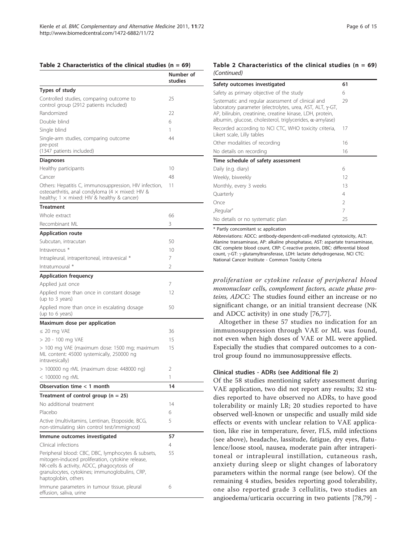#### <span id="page-5-0"></span>Table 2 Characteristics of the clinical studies ( $n = 69$ )

|                                                                                                                                                                                                                               | Number of<br>studies |
|-------------------------------------------------------------------------------------------------------------------------------------------------------------------------------------------------------------------------------|----------------------|
| Types of study                                                                                                                                                                                                                |                      |
| Controlled studies, comparing outcome to<br>control group (2912 patients included)                                                                                                                                            | 25                   |
| Randomized                                                                                                                                                                                                                    | 22                   |
| Double blind                                                                                                                                                                                                                  | 6                    |
| Single blind                                                                                                                                                                                                                  | 1                    |
| Single-arm studies, comparing outcome<br>pre-post                                                                                                                                                                             | 44                   |
| (1347 patients included)                                                                                                                                                                                                      |                      |
| Diagnoses                                                                                                                                                                                                                     |                      |
| Healthy participants<br>Cancer                                                                                                                                                                                                | 10<br>48             |
| Others: Hepatitis C, immunosuppression, HIV infection,<br>osteoarthritis, anal condyloma $(4 \times$ mixed: HIV &<br>healthy; $1 \times$ mixed: HIV & healthy & cancer)                                                       | 11                   |
| <b>Treatment</b>                                                                                                                                                                                                              |                      |
| Whole extract                                                                                                                                                                                                                 | 66                   |
| Recombinant ML                                                                                                                                                                                                                | 3                    |
| <b>Application route</b>                                                                                                                                                                                                      |                      |
| Subcutan, intracutan                                                                                                                                                                                                          | 50                   |
| Intravenous *                                                                                                                                                                                                                 | 10                   |
| Intrapleural, intraperitoneal, intravesical *                                                                                                                                                                                 | 7                    |
| Intratumoural *                                                                                                                                                                                                               | $\overline{2}$       |
| <b>Application frequency</b>                                                                                                                                                                                                  |                      |
| Applied just once                                                                                                                                                                                                             | 7                    |
| Applied more than once in constant dosage<br>(up to 3 years)                                                                                                                                                                  | 12                   |
| Applied more than once in escalating dosage<br>(up to 6 years)                                                                                                                                                                | 50                   |
| Maximum dose per application                                                                                                                                                                                                  |                      |
| $\leq$ 20 mg VAE                                                                                                                                                                                                              | 36                   |
| > 20 - 100 mg VAE                                                                                                                                                                                                             | 15                   |
| > 100 mg VAE (maximum dose: 1500 mg; maximum<br>ML content: 45000 systemically, 250000 ng<br>intravesically)                                                                                                                  | 15                   |
| > 100000 ng rML (maximum dose: 448000 ng)                                                                                                                                                                                     | 2                    |
| < 100000 ng rML                                                                                                                                                                                                               | 1                    |
| Observation time $<$ 1 month                                                                                                                                                                                                  | 14                   |
| Treatment of control group ( $n = 25$ )                                                                                                                                                                                       |                      |
| No additional treatment                                                                                                                                                                                                       | 14                   |
| Placebo                                                                                                                                                                                                                       | 6                    |
| Active (multivitamins, Lentinan, Etoposide, BCG,                                                                                                                                                                              | 5                    |
| non-stimulating skin control test/immignost)                                                                                                                                                                                  |                      |
| Immune outcomes investigated                                                                                                                                                                                                  | 57                   |
| Clinical infections                                                                                                                                                                                                           | $\overline{4}$       |
| Peripheral blood: CBC, DBC, lymphocytes & subsets,<br>mitogen-induced proliferation, cytokine release,<br>NK-cells & activity, ADCC, phagocytosis of<br>granulocytes, cytokines; immunoglobulins, CRP,<br>haptoglobin, others | 55                   |
| Immune parameters in tumour tissue, pleural<br>effusion, saliva, urine                                                                                                                                                        | 6                    |

#### Table 2 Characteristics of the clinical studies ( $n = 69$ ) (Continued)

| Safety outcomes investigated                                                                                                                                                                                                                    | 61            |
|-------------------------------------------------------------------------------------------------------------------------------------------------------------------------------------------------------------------------------------------------|---------------|
| Safety as primary objective of the study                                                                                                                                                                                                        | 6             |
| Systematic and regular assessment of clinical and<br>laboratory parameter (electrolytes, urea, AST, ALT, y-GT,<br>AP, bilirubin, creatinine, creatine kinase, LDH, protein,<br>albumin, glucose, cholesterol, triglycerides, $\alpha$ -amylase) | 29            |
| Recorded according to NCI CTC, WHO toxicity criteria,<br>Likert scale, Lilly tables                                                                                                                                                             | 17            |
| Other modalities of recording                                                                                                                                                                                                                   | 16            |
| No details on recording                                                                                                                                                                                                                         | 16            |
| Time schedule of safety assessment                                                                                                                                                                                                              |               |
| Daily (e.g. diary)                                                                                                                                                                                                                              | 6             |
| Weekly, biweekly                                                                                                                                                                                                                                | 12            |
| Monthly, every 3 weeks                                                                                                                                                                                                                          | 13            |
| Quarterly                                                                                                                                                                                                                                       | 4             |
| Once                                                                                                                                                                                                                                            | $\mathcal{P}$ |
| "Regular"                                                                                                                                                                                                                                       | 7             |
| No details or no systematic plan                                                                                                                                                                                                                | 25            |

\* Partly concomitant sc application

Abbreviations: ADCC: antibody-dependent-cell-mediated cytotoxicity, ALT: Alanine transaminase, AP: alkaline phosphatase, AST: aspartate transaminase, CBC complete blood count, CRP: C-reactive protein, DBC: differential blood count, γ-GT: γ-glutamyltransferase, LDH: lactate dehydrogenase, NCI CTC: National Cancer Institute - Common Toxicity Criteria

proliferation or cytokine release of peripheral blood mononuclear cells, complement factors, acute phase proteins, ADCC: The studies found either an increase or no significant change, or an initial transient decrease (NK and ADCC activity) in one study [\[76,77\]](#page-13-0).

Altogether in these 57 studies no indication for an immunosuppression through VAE or ML was found, not even when high doses of VAE or ML were applied. Especially the studies that compared outcomes to a control group found no immunosuppressive effects.

## Clinical studies - ADRs (see Additional file [2](#page-11-0))

Of the 58 studies mentioning safety assessment during VAE application, two did not report any results; 32 studies reported to have observed no ADRs, to have good tolerability or mainly LR; 20 studies reported to have observed well-known or unspecific and usually mild side effects or events with unclear relation to VAE application, like rise in temperature, fever, FLS, mild infections (see above), headache, lassitude, fatigue, dry eyes, flatulence/loose stool, nausea, moderate pain after intraperitoneal or intrapleural instillation, cutaneous rash, anxiety during sleep or slight changes of laboratory parameters within the normal range (see below). Of the remaining 4 studies, besides reporting good tolerability, one also reported grade 3 cellulitis, two studies an angioedema/urticaria occurring in two patients [[78](#page-13-0),[79](#page-13-0)] -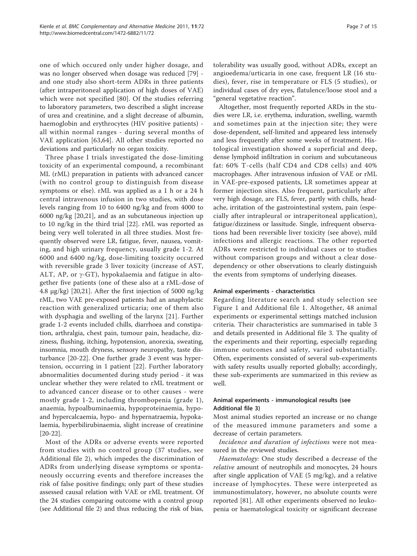one of which occured only under higher dosage, and was no longer observed when dosage was reduced [[79\]](#page-13-0) and one study also short-term ADRs in three patients (after intraperitoneal application of high doses of VAE) which were not specified [\[80\]](#page-13-0). Of the studies referring to laboratory parameters, two described a slight increase of urea and creatinine, and a slight decrease of albumin, haemoglobin and erythrocytes (HIV positive patients) all within normal ranges - during several months of VAE application [[63,64](#page-13-0)]. All other studies reported no deviations and particularly no organ toxicity.

Three phase I trials investigated the dose-limiting toxicity of an experimental compound, a recombinant ML (rML) preparation in patients with advanced cancer (with no control group to distinguish from disease symptoms or else). rML was applied as a 1 h or a 24 h central intravenous infusion in two studies, with dose levels ranging from 10 to 6400 ng/kg and from 4000 to 6000 ng/kg [\[20,21](#page-12-0)], and as an subcutaneous injection up to 10 ng/kg in the third trial [[22](#page-12-0)]. rML was reported as being very well tolerated in all three studies. Most frequently observed were LR, fatigue, fever, nausea, vomiting, and high urinary frequency, usually grade 1-2. At 6000 and 6400 ng/kg, dose-limiting toxicity occurred with reversible grade 3 liver toxicity (increase of AST, ALT, AP, or  $\gamma$ -GT), hypokalaemia and fatigue in altogether five patients (one of these also at a rML-dose of 4.8 μg/kg) [[20](#page-12-0),[21](#page-12-0)]. After the first injection of 5000 ng/kg rML, two VAE pre-exposed patients had an anaphylactic reaction with generalized urticaria; one of them also with dysphagia and swelling of the larynx [\[21](#page-12-0)]. Further grade 1-2 events included chills, diarrhoea and constipation, arthralgia, chest pain, tumour pain, headache, dizziness, flushing, itching, hypotension, anorexia, sweating, insomnia, mouth dryness, sensory neuropathy, taste disturbance [[20-22](#page-12-0)]. One further grade 3 event was hypertension, occurring in 1 patient [\[22\]](#page-12-0). Further laboratory abnormalities documented during study period - it was unclear whether they were related to rML treatment or to advanced cancer disease or to other causes - were mostly grade 1-2, including thrombopenia (grade 1), anaemia, hypoalbuminaemia, hypoproteinaemia, hypoand hypercalcaemia, hypo- and hypernatraemia, hypokalaemia, hyperbilirubinaemia, slight increase of creatinine [[20-22\]](#page-12-0).

Most of the ADRs or adverse events were reported from studies with no control group (37 studies, see Additional file [2\)](#page-11-0), which impedes the discrimination of ADRs from underlying disease symptoms or spontaneously occurring events and therefore increases the risk of false positive findings; only part of these studies assessed causal relation with VAE or rML treatment. Of the 24 studies comparing outcome with a control group (see Additional file [2\)](#page-11-0) and thus reducing the risk of bias,

tolerability was usually good, without ADRs, except an angioedema/urticaria in one case, frequent LR (16 studies), fever, rise in temperature or FLS (5 studies), or individual cases of dry eyes, flatulence/loose stool and a "general vegetative reaction".

Altogether, most frequently reported ARDs in the studies were LR, i.e. erythema, induration, swelling, warmth and sometimes pain at the injection site; they were dose-dependent, self-limited and appeared less intensely and less frequently after some weeks of treatment. Histological investigation showed a superficial and deep, dense lymphoid infiltration in corium and subcutaneous fat: 60% T-cells (half CD4 and CD8 cells) and 40% macrophages. After intravenous infusion of VAE or rML in VAE-pre-exposed patients, LR sometimes appear at former injection sites. Also frequent, particularly after very high dosage, are FLS, fever, partly with chills, headache, irritation of the gastrointestinal system, pain (especially after intrapleural or intraperitoneal application), fatigue/dizziness or lassitude. Single, infrequent observations had been reversible liver toxicity (see above), mild infections and allergic reactions. The other reported ADRs were restricted to individual cases or to studies without comparison groups and without a clear dosedependency or other observations to clearly distinguish the events from symptoms of underlying diseases.

#### Animal experiments - characteristics

Regarding literature search and study selection see Figure [1](#page-3-0) and Additional file [1.](#page-11-0) Altogether, 48 animal experiments or experimental settings matched inclusion criteria. Their characteristics are summarised in table [3](#page-7-0) and details presented in Additional file [3](#page-11-0). The quality of the experiments and their reporting, especially regarding immune outcomes and safety, varied substantially. Often, experiments consisted of several sub-experiments with safety results usually reported globally; accordingly, these sub-experiments are summarized in this review as well.

## Animal experiments - immunological results (see Additional file [3](#page-11-0))

Most animal studies reported an increase or no change of the measured immune parameters and some a decrease of certain parameters.

Incidence and duration of infections were not measured in the reviewed studies.

Haematology: One study described a decrease of the relative amount of neutrophils and monocytes, 24 hours after single application of VAE (5 mg/kg), and a relative increase of lymphocytes. These were interpreted as immunostimulatory, however, no absolute counts were reported [\[81](#page-13-0)]. All other experiments observed no leukopenia or haematological toxicity or significant decrease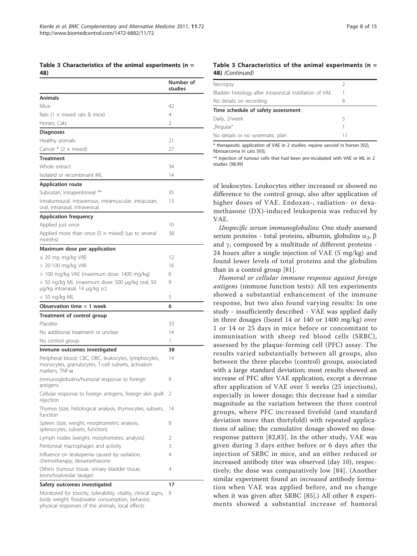#### <span id="page-7-0"></span>Table 3 Characteristics of the animal experiments ( $n =$ 48)

|                                                                                                                                                                       | Number of<br>studies |
|-----------------------------------------------------------------------------------------------------------------------------------------------------------------------|----------------------|
| <b>Animals</b>                                                                                                                                                        |                      |
| Mice                                                                                                                                                                  | 42                   |
| Rats (1 $\times$ mixed: rats & mice)                                                                                                                                  | 4                    |
| Horses, Cats                                                                                                                                                          | $\overline{2}$       |
| Diagnoses                                                                                                                                                             |                      |
| Healthy animals                                                                                                                                                       | 21                   |
| Cancer $*$ (2 $\times$ mixed)                                                                                                                                         | 27                   |
| <b>Treatment</b>                                                                                                                                                      |                      |
| Whole extract                                                                                                                                                         | 34                   |
| Isolated or recombinant ML                                                                                                                                            | 14                   |
| <b>Application route</b>                                                                                                                                              |                      |
| Subcutan, intraperitoneal **                                                                                                                                          | 35                   |
| Intratumoural, intravenous, intramuscular, intracutan,<br>oral, intranasal, intravesical                                                                              | 13                   |
| <b>Application frequency</b>                                                                                                                                          |                      |
| Applied just once                                                                                                                                                     | 10                   |
| Applied more than once $(5 \times$ mixed) (up to several<br>months)                                                                                                   | 38                   |
| Maximum dose per application                                                                                                                                          |                      |
| $\leq$ 20 mg mg/kg VAE                                                                                                                                                | 12                   |
| > 20-100 mg/kg VAE                                                                                                                                                    | 16                   |
| > 100 mg/kg VAE (maximum dose: 1400 mg/kg)                                                                                                                            | 6                    |
| > 50 ng/kg ML (maximum dose: 500 µg/kg oral, 50<br>µg/kg intranasal, 14 µg/kg sc)                                                                                     | 9                    |
| $< 50$ ng/kg ML                                                                                                                                                       | 5                    |
| Observation time < 1 week                                                                                                                                             | 6                    |
| Treatment of control group                                                                                                                                            |                      |
| Placebo                                                                                                                                                               | 33                   |
| No additional treatment or unclear                                                                                                                                    | 14                   |
| No control group                                                                                                                                                      | 1                    |
| Immune outcomes investigated                                                                                                                                          | 38                   |
| Peripheral blood: CBC, DBC, leukocytes, lymphocytes,<br>monocytes, granulocytes, T-cell subsets, activation<br>markers, TNF- $\alpha$                                 | 14                   |
| Immunoglobulins/humoral response to foreign<br>antigens                                                                                                               | 9                    |
| Cellular response to foreign antigens, foreign skin graft<br>rejection                                                                                                | 2                    |
| Thymus (size, histological analysis, thymocytes, subsets,<br>function                                                                                                 | 14                   |
| Spleen (size, weight, morphometric analysis,<br>splenocytes, subsets, function)                                                                                       | 8                    |
| Lymph nodes (weight, morphometric analysis)                                                                                                                           | 2                    |
| Peritoneal macrophages and activity                                                                                                                                   | 3                    |
| Influence on leukopenia caused by radiation,<br>chemotherapy, dexamethasone.                                                                                          | 4                    |
| Others (tumour tissue, urinary bladder tissue,<br>bronchoalveolar lavage)                                                                                             | 4                    |
| Safety outcomes investigated                                                                                                                                          | 17                   |
| Monitored for toxicity, tolerability, vitality, clinical signs,<br>body weight, food/water consumption, behavior,<br>physical responses of the animals, local effects | 9                    |

Table 3 Characteristics of the animal experiments ( $n =$ 48) (Continued)

| Necropsy                                                 |    |
|----------------------------------------------------------|----|
| Bladder histology after intravesical instillation of VAE |    |
| No details on recording                                  | 8  |
| Time schedule of safety assessment                       |    |
| Daily, 2/week                                            | 5  |
| "Regular"                                                |    |
| No details or no systematic plan                         | 11 |
|                                                          |    |

\* therapeutic application of VAE in 2 studies: equine sarcoid in horses [\[92](#page-13-0)], fibrosarcoma in cats [[93\]](#page-13-0);

\*\* Injection of tumour cells that had been pre-incubated with VAE or ML in 2 studies [[98,99](#page-13-0)]

of leukocytes. Leukocytes either increased or showed no difference to the control group, also after application of higher doses of VAE. Endoxan-, radiation- or dexamethasone (DX)-induced leukopenia was reduced by VAE.

Unspecific serum immunoglobulins: One study assessed serum proteins - total proteins, albumin, globulins  $\alpha_2$ ,  $\beta$ and  $\gamma$ , composed by a multitude of different proteins -24 hours after a single injection of VAE (5 mg/kg) and found lower levels of total proteins and the globulins than in a control group [[81\]](#page-13-0).

Humoral or cellular immune response against foreign antigens (immune function tests): All ten experiments showed a substantial enhancement of the immune response, but two also found varying results: In one study - insufficiently described - VAE was applied daily in three dosages (Isorel 14 or 140 or 1400 mg/kg) over 1 or 14 or 25 days in mice before or concomitant to immunisation with sheep red blood cells (SRBC), assessed by the plaque-forming cell (PFC) assay. The results varied substantially between all groups, also between the three placebo (control) groups, associated with a large standard deviation; most results showed an increase of PFC after VAE application, except a decrease after application of VAE over 5 weeks (25 injections), especially in lower dosage; this decrease had a similar magnitude as the variation between the three control groups, where PFC increased fivefold (and standard deviation more than thirtyfold) with repeated applications of saline; the cumulative dosage showed no doseresponse pattern [\[82,83](#page-13-0)]. In the other study, VAE was given during 3 days either before or 6 days after the injection of SRBC in mice, and an either reduced or increased antibody titer was observed (day 10), respectively; the dose was comparatively low [[84](#page-13-0)]. (Another similar experiment found an increased antibody formation when VAE was applied before, and no change when it was given after SRBC [\[85](#page-13-0)].) All other 8 experiments showed a substantial increase of humoral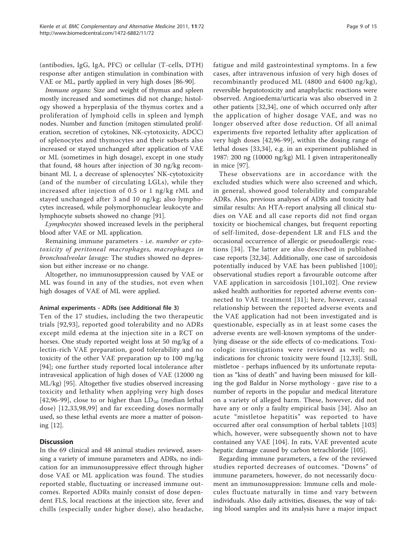(antibodies, IgG, IgA, PFC) or cellular (T-cells, DTH) response after antigen stimulation in combination with VAE or ML, partly applied in very high doses [\[86-90](#page-13-0)].

Immune organs: Size and weight of thymus and spleen mostly increased and sometimes did not change; histology showed a hyperplasia of the thymus cortex and a proliferation of lymphoid cells in spleen and lymph nodes. Number and function (mitogen stimulated proliferation, secretion of cytokines, NK-cytotoxicity, ADCC) of splenocytes and thymocytes and their subsets also increased or stayed unchanged after application of VAE or ML (sometimes in high dosage), except in one study that found, 48 hours after injection of 30 ng/kg recombinant ML I, a decrease of splenocytes' NK-cytotoxicity (and of the number of circulating LGLs), while they increased after injection of 0.5 or 1 ng/kg rML and stayed unchanged after 3 and 10 ng/kg; also lymphocytes increased, while polymorphonuclear leukocyte and lymphocyte subsets showed no change [[91](#page-13-0)].

Lymphocytes showed increased levels in the peripheral blood after VAE or ML application.

Remaining immune parameters - i.e. number or cytotoxicity of peritoneal macrophages, macrophages in bronchoalveolar lavage: The studies showed no depression but either increase or no change.

Altogether, no immunosuppression caused by VAE or ML was found in any of the studies, not even when high dosages of VAE of ML were applied.

#### Animal experiments - ADRs (see Additional file [3](#page-11-0))

Ten of the 17 studies, including the two therapeutic trials [[92](#page-13-0),[93](#page-13-0)], reported good tolerability and no ADRs except mild edema at the injection site in a RCT on horses. One study reported weight loss at 50 mg/kg of a lectin-rich VAE preparation, good tolerability and no toxicity of the other VAE preparation up to 100 mg/kg [[94](#page-13-0)]; one further study reported local intolerance after intravesical application of high doses of VAE (12000 ng ML/kg) [\[95](#page-13-0)]. Altogether five studies observed increasing toxicity and lethality when applying very high doses [[42](#page-12-0)[,96](#page-13-0)-[99](#page-13-0)], close to or higher than  $LD_{50}$  (median lethal dose) [[12](#page-11-0),[33](#page-12-0),[98](#page-13-0),[99](#page-13-0)] and far exceeding doses normally used, so these lethal events are more a matter of poisoning [[12](#page-11-0)].

#### **Discussion**

In the 69 clinical and 48 animal studies reviewed, assessing a variety of immune parameters and ADRs, no indication for an immunosuppressive effect through higher dose VAE or ML application was found. The studies reported stable, fluctuating or increased immune outcomes. Reported ADRs mainly consist of dose dependent FLS, local reactions at the injection site, fever and chills (especially under higher dose), also headache,

fatigue and mild gastrointestinal symptoms. In a few cases, after intravenous infusion of very high doses of recombinantly produced ML (4800 and 6400 ng/kg), reversible hepatotoxicity and anaphylactic reactions were observed. Angioedema/urticaria was also observed in 2 other patients [\[32](#page-12-0),[34\]](#page-12-0), one of which occurred only after the application of higher dosage VAE, and was no longer observed after dose reduction. Of all animal experiments five reported lethality after application of very high doses [\[42,](#page-12-0)[96](#page-13-0)-[99](#page-13-0)], within the dosing range of lethal doses [\[33](#page-12-0),[34\]](#page-12-0), e.g. in an experiment published in 1987: 200 ng (10000 ng/kg) ML I given intraperitoneally in mice [[97](#page-13-0)].

These observations are in accordance with the excluded studies which were also screened and which, in general, showed good tolerability and comparable ADRs. Also, previous analyses of ADRs and toxicity had similar results: An HTA-report analysing all clinical studies on VAE and all case reports did not find organ toxicity or biochemical changes, but frequent reporting of self-limited, dose-dependent LR and FLS and the occasional occurrence of allergic or pseudoallergic reactions [\[34\]](#page-12-0). The latter are also described in published case reports [[32,34\]](#page-12-0). Additionally, one case of sarcoidosis potentially induced by VAE has been published [[100](#page-13-0)]; observational studies report a favourable outcome after VAE application in sarcoidosis [[101,102\]](#page-13-0). One review asked health authorities for reported adverse events connected to VAE treatment [[31](#page-12-0)]; here, however, causal relationship between the reported adverse events and the VAE application had not been investigated and is questionable, especially as in at least some cases the adverse events are well-known symptoms of the underlying disease or the side effects of co-medications. Toxicologic investigations were reviewed as well; no indications for chronic toxicity were found [[12,](#page-11-0)[33\]](#page-12-0). Still, mistletoe - perhaps influenced by its unfortunate reputation as "kiss of death" and having been misused for killing the god Baldur in Norse mythology - gave rise to a number of reports in the popular and medical literature on a variety of alleged harm. These, however, did not have any or only a faulty empirical basis [\[34\]](#page-12-0). Also an acute "mistletoe hepatitis" was reported to have occurred after oral consumption of herbal tablets [\[103](#page-13-0)] which, however, were subsequently shown not to have contained any VAE [[104\]](#page-13-0). In rats, VAE prevented acute hepatic damage caused by carbon tetrachloride [\[105\]](#page-13-0).

Regarding immune parameters, a few of the reviewed studies reported decreases of outcomes. "Downs" of immune parameters, however, do not necessarily document an immunosuppression: Immune cells and molecules fluctuate naturally in time and vary between individuals. Also daily activities, diseases, the way of taking blood samples and its analysis have a major impact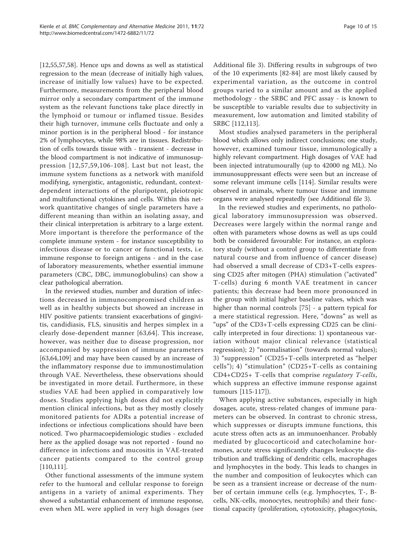[[12,](#page-11-0)[55,57,58\]](#page-12-0). Hence ups and downs as well as statistical regression to the mean (decrease of initially high values, increase of initially low values) have to be expected. Furthermore, measurements from the peripheral blood mirror only a secondary compartment of the immune system as the relevant functions take place directly in the lymphoid or tumour or inflamed tissue. Besides their high turnover, immune cells fluctuate and only a minor portion is in the peripheral blood - for instance 2% of lymphocytes, while 98% are in tissues. Redistribution of cells towards tissue with - transient - decrease in the blood compartment is not indicative of immunosuppression [[12,](#page-11-0)[57](#page-12-0),[59](#page-12-0),[106](#page-14-0)-[108](#page-14-0)]. Last but not least, the immune system functions as a network with manifold modifying, synergistic, antagonistic, redundant, contextdependent interactions of the pluripotent, pleiotropic and multifunctional cytokines and cells. Within this network quantitative changes of single parameters have a different meaning than within an isolating assay, and their clinical interpretation is arbitrary to a large extent. More important is therefore the performance of the complete immune system - for instance susceptibility to infectious disease or to cancer or functional tests, i.e. immune response to foreign antigens - and in the case of laboratory measurements, whether essential immune parameters (CBC, DBC, immunoglobulins) can show a clear pathological aberration.

In the reviewed studies, number and duration of infections decreased in immunocompromised children as well as in healthy subjects but showed an increase in HIV positive patients: transient exacerbations of gingivitis, candidiasis, FLS, sinusitis and herpes simplex in a clearly dose-dependent manner [[63](#page-13-0),[64\]](#page-13-0). This increase, however, was neither due to disease progression, nor accompanied by suppression of immune parameters [[63,64,](#page-13-0)[109\]](#page-14-0) and may have been caused by an increase of the inflammatory response due to immunostimulation through VAE. Nevertheless, these observations should be investigated in more detail. Furthermore, in these studies VAE had been applied in comparatively low doses. Studies applying high doses did not explicitly mention clinical infections, but as they mostly closely monitored patients for ADRs a potential increase of infections or infectious complications should have been noticed. Two pharmacoepidemiologic studies - excluded here as the applied dosage was not reported - found no difference in infections and mucositis in VAE-treated cancer patients compared to the control group [[110](#page-14-0),[111](#page-14-0)].

Other functional assessments of the immune system refer to the humoral and cellular response to foreign antigens in a variety of animal experiments. They showed a substantial enhancement of immune response, even when ML were applied in very high dosages (see Additional file [3](#page-11-0)). Differing results in subgroups of two of the 10 experiments [[82-84](#page-13-0)] are most likely caused by experimental variation, as the outcome in control groups varied to a similar amount and as the applied methodology - the SRBC and PFC assay - is known to be susceptible to variable results due to subjectivity in measurement, low automation and limited stability of SRBC [[112,113\]](#page-14-0).

Most studies analysed parameters in the peripheral blood which allows only indirect conclusions; one study, however, examined tumour tissue, immunologically a highly relevant compartment. High dosages of VAE had been injected intratumourally (up to 42000 ng ML). No immunosuppressant effects were seen but an increase of some relevant immune cells [\[114\]](#page-14-0). Similar results were observed in animals, where tumour tissue and immune organs were analysed repeatedly (see Additional file [3](#page-11-0)).

In the reviewed studies and experiments, no pathological laboratory immunosupression was observed. Decreases were largely within the normal range and often with parameters whose downs as well as ups could both be considered favourable: For instance, an exploratory study (without a control group to differentiate from natural course and from influence of cancer disease) had observed a small decrease of CD3+T-cells expressing CD25 after mitogen (PHA) stimulation ("activated" T-cells) during 6 month VAE treatment in cancer patients; this decrease had been more pronounced in the group with initial higher baseline values, which was higher than normal controls [[75\]](#page-13-0) - a pattern typical for a mere statistical regression. Here, "downs" as well as "ups" of the CD3+T-cells expressing CD25 can be clinically interpreted in four directions: 1) spontaneous variation without major clinical relevance (statistical regression); 2) "normalisation" (towards normal values); 3) "suppression" (CD25+T-cells interpreted as "helper cells"); 4) "stimulation" (CD25+T-cells as containing CD4+CD25+ T-cells that comprise regulatory T-cells, which suppress an effective immune response against tumours [\[115](#page-14-0)-[117](#page-14-0)]).

When applying active substances, especially in high dosages, acute, stress-related changes of immune parameters can be observed. In contrast to chronic stress, which suppresses or disrupts immune functions, this acute stress often acts as an immunoenhancer. Probably mediated by glucocorticoid and catecholamine hormones, acute stress significantly changes leukocyte distribution and trafficking of dendritic cells, macrophages and lymphocytes in the body. This leads to changes in the number and composition of leukocytes which can be seen as a transient increase or decrease of the number of certain immune cells (e.g. lymphocytes, T-, Bcells, NK-cells, monocytes, neutrophils) and their functional capacity (proliferation, cytotoxicity, phagocytosis,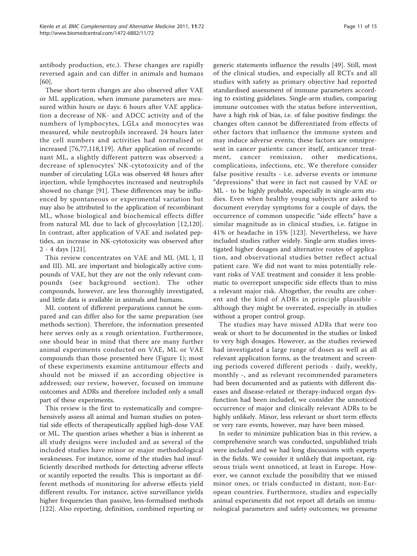antibody production, etc.). These changes are rapidly reversed again and can differ in animals and humans [[60\]](#page-12-0).

These short-term changes are also observed after VAE or ML application, when immune parameters are measured within hours or days: 6 hours after VAE application a decrease of NK- and ADCC activity and of the numbers of lymphocytes, LGLs and monocytes was measured, while neutrophils increased. 24 hours later the cell numbers and activities had normalised or increased [\[76,77](#page-13-0),[118,119\]](#page-14-0). After application of recombinant ML, a slightly different pattern was observed: a decrease of splenocytes' NK-cytotoxicity and of the number of circulating LGLs was observed 48 hours after injection, while lymphocytes increased and neutrophils showed no change [\[91](#page-13-0)]. These differences may be influenced by spontaneous or experimental variation but may also be attributed to the application of recombinant ML, whose biological and biochemical effects differ from natural ML due to lack of glycosylation [\[12,](#page-11-0)[120](#page-14-0)]. In contrast, after application of VAE and isolated peptides, an increase in NK-cytotoxicity was observed after 2 - 4 days [[121\]](#page-14-0).

This review concentrates on VAE and ML (ML I, II and III). ML are important and biologically active compounds of VAE, but they are not the only relevant compounds (see background section). The other compounds, however, are less thoroughly investigated, and little data is available in animals and humans.

ML content of different preparations cannot be compared and can differ also for the same preparation (see methods section). Therefore, the information presented here serves only as a rough orientation. Furthermore, one should bear in mind that there are many further animal experiments conducted on VAE, ML or VAE compounds than those presented here (Figure [1\)](#page-3-0); most of these experiments examine antitumour effects and should not be missed if an according objective is addressed; our review, however, focused on immune outcomes and ADRs and therefore included only a small part of these experiments.

This review is the first to systematically and comprehensively assess all animal and human studies on potential side effects of therapeutically applied high-dose VAE or ML. The question arises whether a bias is inherent as all study designs were included and as several of the included studies have minor or major methodological weaknesses. For instance, some of the studies had insufficiently described methods for detecting adverse effects or scantily reported the results. This is important as different methods of monitoring for adverse effects yield different results. For instance, active surveillance yields higher frequencies than passive, less-formalised methods [[122\]](#page-14-0). Also reporting, definition, combined reporting or

generic statements influence the results [[49\]](#page-12-0). Still, most of the clinical studies, and especially all RCTs and all studies with safety as primary objective had reported standardised assessment of immune parameters according to existing guidelines. Single-arm studies, comparing immune outcomes with the status before intervention, have a high risk of bias, i.e. of false positive findings: the changes often cannot be differentiated from effects of other factors that influence the immune system and may induce adverse events; these factors are omnipresent in cancer patients: cancer itself, anticancer treatment, cancer remission, other medications, complications, infections, etc. We therefore consider false positive results - i.e. adverse events or immune "depressions" that were in fact not caused by VAE or ML - to be highly probable, especially in single-arm studies. Even when healthy young subjects are asked to document everyday symptoms for a couple of days, the occurrence of common unspecific "side effects" have a similar magnitude as in clinical studies, i.e. fatigue in 41% or headache in 15% [[123\]](#page-14-0). Nevertheless, we have included studies rather widely. Single-arm studies investigated higher dosages and alternative routes of application, and observational studies better reflect actual patient care. We did not want to miss potentially relevant risks of VAE treatment and consider it less problematic to overreport unspecific side effects than to miss a relevant major risk. Altogether, the results are coherent and the kind of ADRs in principle plausible although they might be overrated, especially in studies without a proper control group.

The studies may have missed ADRs that were too weak or short to be documented in the studies or linked to very high dosages. However, as the studies reviewed had investigated a large range of doses as well as all relevant application forms, as the treatment and screening periods covered different periods - daily, weekly, monthly -, and as relevant recommended parameters had been documented and as patients with different diseases and disease-related or therapy-induced organ dysfunction had been included, we consider the unnoticed occurrence of major and clinically relevant ADRs to be highly unlikely. Minor, less relevant or short term effects or very rare events, however, may have been missed.

In order to minimize publication bias in this review, a comprehensive search was conducted, unpublished trials were included and we had long discussions with experts in the fields. We consider it unlikely that important, rigorous trials went unnoticed, at least in Europe. However, we cannot exclude the possibility that we missed minor ones, or trials conducted in distant, non-European countries. Furthermore, studies and especially animal experiments did not report all details on immunological parameters and safety outcomes; we presume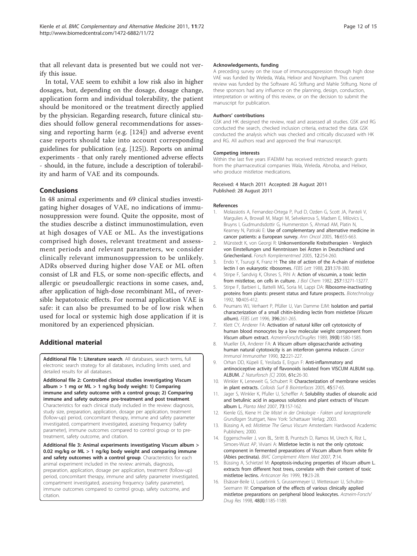<span id="page-11-0"></span>that all relevant data is presented but we could not verify this issue.

In total, VAE seem to exhibit a low risk also in higher dosages, but, depending on the dosage, dosage change, application form and individual tolerability, the patient should be monitored or the treatment directly applied by the physician. Regarding research, future clinical studies should follow general recommendations for assessing and reporting harm (e.g. [[124](#page-14-0)]) and adverse event case reports should take into account corresponding guidelines for publication (e.g. [\[125\]](#page-14-0)). Reports on animal experiments - that only rarely mentioned adverse effects - should, in the future, include a description of tolerability and harm of VAE and its compounds.

#### Conclusions

In 48 animal experiments and 69 clinical studies investigating higher dosages of VAE, no indications of immunosuppression were found. Quite the opposite, most of the studies describe a distinct immunostimulation, even at high dosages of VAE or ML. As the investigations comprised high doses, relevant treatment and assessment periods and relevant parameters, we consider clinically relevant immunosuppression to be unlikely. ADRs observed during higher dose VAE or ML often consist of LR and FLS, or some non-specific effects, and allergic or pseudoallergic reactions in some cases, and, after application of high-dose recombinant ML, of reversible hepatotoxic effects. For normal application VAE is safe: it can also be presumed to be of low risk when used for local or systemic high dose application if it is monitored by an experienced physician.

## Additional material

[Additional File 1:](http://www.biomedcentral.com/content/supplementary/1472-6882-11-72-S1.PDF) Literature search. All databases, search terms, full electronic search strategy for all databases, including limits used, and detailed results for all databases.

[Additional file 2: C](http://www.biomedcentral.com/content/supplementary/1472-6882-11-72-S2.PDF)ontrolled clinical studies investigating Viscum album > 1 mg or ML > 1 ng/kg body weight: 1) Comparing immune and safety outcome with a control group; 2) Comparing immune and safety outcome pre-treatment and post treatment. Characteristics for each clinical study included in the review: diagnosis, study size, preparation, application, dosage per application, treatment (follow-up) period, concomitant therapy, immune and safety parameter investigated, compartment investigated, assessing frequency (safety parameter), immune outcomes compared to control group or to pretreatment, safety outcome, and citation.

[Additional file 3: A](http://www.biomedcentral.com/content/supplementary/1472-6882-11-72-S3.PDF)nimal experiments investigating Viscum album > 0.02 mg/kg or ML > 1 ng/kg body weight and comparing immune and safety outcomes with a control group. Characteristics for each animal experiment included in the review: animals, diagnosis, preparation, application, dosage per application, treatment (follow-up) period, concomitant therapy, immune and safety parameter investigated, compartment investigated, assessing frequency (safety parameter), immune outcomes compared to control group, safety outcome, and citation.

#### Acknowledgements, funding

A preceding survey on the issue of immunosuppression through high dose VAE was funded by Weleda, Wala, Helixor and Novipharm. This current review was funded by the Software AG Stiftung and Mahle Stiftung. None of these sponsors had any influence on the planning, design, conduction, interpretation or writing of this review, or on the decision to submit the manuscript for publication.

#### Authors' contributions

GSK and HK designed the review, read and assessed all studies. GSK and RG conducted the search, checked inclusion criteria, extracted the data. GSK conducted the analysis which was checked and critically discussed with HK and RG. All authors read and approved the final manuscript.

#### Competing interests

Within the last five years IFAEMM has received restricted research grants from the pharmaceutical companies Wala, Weleda, Abnoba, and Helixor, who produce mistletoe medications.

#### Received: 4 March 2011 Accepted: 28 August 2011 Published: 28 August 2011

#### References

- 1. Molassiotis A, Fernandez-Ortega P, Pud D, Ozden G, Scott JA, Panteli V, Margulies A, Browall M, Magri M, Selvekerova S, Madsen E, Milovics L, Bruyns I, Gudmundsdottir G, Hummerston S, Ahmad AM, Platin N, Kearney N, Patiraki E: [Use of complementary and alternative medicine in](http://www.ncbi.nlm.nih.gov/pubmed/15699021?dopt=Abstract) [cancer patients: a European survey.](http://www.ncbi.nlm.nih.gov/pubmed/15699021?dopt=Abstract) Ann Oncol 2005, 16:655-663.
- 2. Münstedt K, von Georgi R: Unkonventionelle Krebstherapien Vergleich von Einstellungen und Kenntnissen bei Ärzten in Deutschland und Griechenland. Forsch Komplementmed 2005, 12:254-260.
- 3. Endo Y, Tsurugi K, Franz H: [The site of action of the A-chain of mistletoe](http://www.ncbi.nlm.nih.gov/pubmed/3360143?dopt=Abstract) [lectin I on eukaryotic ribosomes.](http://www.ncbi.nlm.nih.gov/pubmed/3360143?dopt=Abstract) FEBS Lett 1988, 231:378-380.
- 4. Stirpe F, Sandvig K, Olsnes S, Pihl A: [Action of viscumin, a toxic lectin](http://www.ncbi.nlm.nih.gov/pubmed/7142145?dopt=Abstract) [from mistletoe, on cells in culture.](http://www.ncbi.nlm.nih.gov/pubmed/7142145?dopt=Abstract) J Biol Chem 1982, 257:13271-13277.
- 5. Stirpe F, Barbieri L, Battelli MG, Soria M, Lappi DA: [Ribosome-inactivating](http://www.ncbi.nlm.nih.gov/pubmed/1368484?dopt=Abstract) [proteins from plants: present status and future prospects.](http://www.ncbi.nlm.nih.gov/pubmed/1368484?dopt=Abstract) Biotechnology 1992, 10:405-412.
- 6. Peumans WJ, Verhaert P, Pfüller U, Van Damme EJM: [Isolation and partial](http://www.ncbi.nlm.nih.gov/pubmed/8914999?dopt=Abstract) [characterization of a small chitin-binding lectin from mistletoe \(](http://www.ncbi.nlm.nih.gov/pubmed/8914999?dopt=Abstract)Viscum [album](http://www.ncbi.nlm.nih.gov/pubmed/8914999?dopt=Abstract)). FEBS Lett 1996, 396:261-265.
- 7. Klett CY, Anderer FA: [Activation of natural killer cell cytotoxicity of](http://www.ncbi.nlm.nih.gov/pubmed/2624609?dopt=Abstract) [human blood monocytes by a low molecular weight component from](http://www.ncbi.nlm.nih.gov/pubmed/2624609?dopt=Abstract) [Viscum album](http://www.ncbi.nlm.nih.gov/pubmed/2624609?dopt=Abstract) extract. ArzneimForsch/DrugRes 1989, 39(II):1580-1585.
- 8. Mueller EA, Anderer FA: A Viscum album [oligosaccharide activating](http://www.ncbi.nlm.nih.gov/pubmed/2124513?dopt=Abstract) [human natural cytotoxicity is an interferon gamma inducer.](http://www.ncbi.nlm.nih.gov/pubmed/2124513?dopt=Abstract) Cancer Immunol Immunother 1990, 32:221-227.
- 9. Orhan DD, Küpeli E, Yesilada E, Ergun F: [Anti-inflammatory and](http://www.ncbi.nlm.nih.gov/pubmed/16610212?dopt=Abstract) [antinociceptive activity of flavonoids isolated from VISCUM ALBUM ssp.](http://www.ncbi.nlm.nih.gov/pubmed/16610212?dopt=Abstract) [ALBUM.](http://www.ncbi.nlm.nih.gov/pubmed/16610212?dopt=Abstract) Z Naturforsch [C] 2006, 61c:26-30.
- 10. Winkler K, Leneweit G, Schubert R: [Characterization of membrane vesicles](http://www.ncbi.nlm.nih.gov/pubmed/16125916?dopt=Abstract) [in plant extracts.](http://www.ncbi.nlm.nih.gov/pubmed/16125916?dopt=Abstract) Colloids Surf B Biointerfaces 2005, 45:57-65.
- 11. Jager S, Winkler K, Pfuller U, Scheffler A: [Solubility studies of oleanolic acid](http://www.ncbi.nlm.nih.gov/pubmed/17415876?dopt=Abstract) [and betulinic acid in aqueous solutions and plant extracts of Viscum](http://www.ncbi.nlm.nih.gov/pubmed/17415876?dopt=Abstract) [album L.](http://www.ncbi.nlm.nih.gov/pubmed/17415876?dopt=Abstract) Planta Med 2007, 73:157-162.
- 12. Kienle GS, Kiene H: Die Mistel in der Onkologie Fakten und konzeptionelle Grundlagen Stuttgart, New York: Schattauer Verlag; 2003.
- 13. Büssing A, ed: Mistletoe The Genus Viscum Amsterdam: Hardwood Academic Publishers; 2000.
- 14. Eggenschwiler J, von BL, Stritt B, Pruntsch D, Ramos M, Urech K, Rist L, Simoes-Wust AP, Viviani A: [Mistletoe lectin is not the only cytotoxic](http://www.ncbi.nlm.nih.gov/pubmed/17493268?dopt=Abstract) [component in fermented preparations of Viscum album from white fir](http://www.ncbi.nlm.nih.gov/pubmed/17493268?dopt=Abstract) [\(Abies pectinata\).](http://www.ncbi.nlm.nih.gov/pubmed/17493268?dopt=Abstract) BMC Complement Altern Med 2007, 7:14.
- 15. Büssing A, Schietzel M: [Apoptosis-inducing properties of](http://www.ncbi.nlm.nih.gov/pubmed/10226520?dopt=Abstract) Viscum album L. [extracts from different host trees, correlate with their content of toxic](http://www.ncbi.nlm.nih.gov/pubmed/10226520?dopt=Abstract) [mistletoe lectins.](http://www.ncbi.nlm.nih.gov/pubmed/10226520?dopt=Abstract) Anticancer Res 1999, 19:23-28.
- 16. Elsässer-Beile U, Lusebrink S, Grussenmeyer U, Wetterauer U, Schultze-Seemann W: [Comparison of the effects of various clinically applied](http://www.ncbi.nlm.nih.gov/pubmed/9893935?dopt=Abstract) [mistletoe preparations on peripheral blood leukocytes.](http://www.ncbi.nlm.nih.gov/pubmed/9893935?dopt=Abstract) Arzneim-Forsch/ Drug Res 1998, 48(II):1185-1189.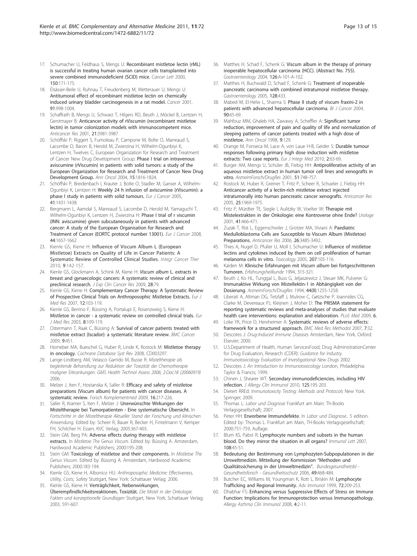- <span id="page-12-0"></span>17. Schumacher U, Feldhaus S, Mengs U: [Recombinant mistletoe lectin \(rML\)](http://www.ncbi.nlm.nih.gov/pubmed/10704739?dopt=Abstract) [is successful in treating human ovarian cancer cells transplanted into](http://www.ncbi.nlm.nih.gov/pubmed/10704739?dopt=Abstract) [severe combined immunodeficient \(SCID\) mice.](http://www.ncbi.nlm.nih.gov/pubmed/10704739?dopt=Abstract) Cancer Lett 2000, 150:171-175.
- 18. Elsässer-Beile U, Ruhnau T, Freudenberg M, Wetterauer U, Mengs U: [Antitumoral effect of recombinant mistletoe lectin on chemically](http://www.ncbi.nlm.nih.gov/pubmed/11251952?dopt=Abstract) [induced urinary bladder carcinogenesis in a rat model.](http://www.ncbi.nlm.nih.gov/pubmed/11251952?dopt=Abstract) Cancer 2001, 91:998-1004.
- 19. Schaffrath B, Mengs U, Schwarz T, Hilgers RD, Beuth J, Möckel B, Lentzen H, Gerstmayer B: [Anticancer activity of rViscumin \(recombinant mistletoe](http://www.ncbi.nlm.nih.gov/pubmed/11911280?dopt=Abstract) [lectin\) in tumor colonization models with immunocompetent mice.](http://www.ncbi.nlm.nih.gov/pubmed/11911280?dopt=Abstract) Anticancer Res 2001, 21:3981-3987.
- 20. Schöffski P, Riggert S, Fumoleau P, Campone M, Bolte O, Marreaud S, Lacombe D, Baron B, Herold M, Zwierzina H, Wilhelm-Ogunbiyi K, Lentzen H, Twelves C, European Organization for Research and Treatment of Cancer New Drug Development Group: [Phase I trial on intravenous](http://www.ncbi.nlm.nih.gov/pubmed/15550588?dopt=Abstract) [aviscumine \(rViscumin\) in patients with solid tumors: a study of the](http://www.ncbi.nlm.nih.gov/pubmed/15550588?dopt=Abstract) [European Organization for Research and Treatment of Cancer New Drug](http://www.ncbi.nlm.nih.gov/pubmed/15550588?dopt=Abstract) [Development Group.](http://www.ncbi.nlm.nih.gov/pubmed/15550588?dopt=Abstract) Ann Oncol 2004, 15:1816-1824.
- 21. Schöffski P, Breidenbach I, Krauter J, Bolte O, Stadler M, Ganser A, Wilhelm-Ogunbiyi K, Lentzen H: [Weekly 24 h infusion of aviscumine \(rViscumin\): a](http://www.ncbi.nlm.nih.gov/pubmed/15913988?dopt=Abstract) [phase I study in patients with solid tumours.](http://www.ncbi.nlm.nih.gov/pubmed/15913988?dopt=Abstract) Eur J Cancer 2005, 41:1431-1438.
- 22. Bergmann L, Aamdal S, Marreaud S, Lacombe D, Herold M, Yamaguchi T, Wilhelm-Ogunbiyi K, Lentzen H, Zwierzina H: [Phase I trial of r viscumin](http://www.ncbi.nlm.nih.gov/pubmed/18602257?dopt=Abstract) [\(INN: aviscumine\) given subcutaneously in patients with advanced](http://www.ncbi.nlm.nih.gov/pubmed/18602257?dopt=Abstract) [cancer: A study of the European Organisation for Research and](http://www.ncbi.nlm.nih.gov/pubmed/18602257?dopt=Abstract) [Treatment of Cancer \(EORTC protocol number 13001\).](http://www.ncbi.nlm.nih.gov/pubmed/18602257?dopt=Abstract) Eur J Cancer 2008, 44:1657-1662.
- 23. Kienle GS, Kiene H: [Influence of Viscum Album L \(European](http://www.ncbi.nlm.nih.gov/pubmed/20483874?dopt=Abstract) [Mistletoe\) Extracts on Quality of Life in Cancer Patients: A](http://www.ncbi.nlm.nih.gov/pubmed/20483874?dopt=Abstract) [Systematic Review of Controlled Clinical Studies.](http://www.ncbi.nlm.nih.gov/pubmed/20483874?dopt=Abstract) Integr Cancer Ther 2010, 9:142-157.
- 24. Kienle GS, Glockmann A, Schink M, Kiene H: Viscum album [L. extracts in](http://www.ncbi.nlm.nih.gov/pubmed/19519890?dopt=Abstract) [breast and gynaecologic cancers: A systematic review of clinical and](http://www.ncbi.nlm.nih.gov/pubmed/19519890?dopt=Abstract) [preclinical research.](http://www.ncbi.nlm.nih.gov/pubmed/19519890?dopt=Abstract) J Exp Clin Cancer Res 2009, 28:79.
- 25. Kienle GS, Kiene H: [Complementary Cancer Therapy: A Systematic Review](http://www.ncbi.nlm.nih.gov/pubmed/17507307?dopt=Abstract) [of Prospective Clinical Trials on Anthroposophic Mistletoe Extracts.](http://www.ncbi.nlm.nih.gov/pubmed/17507307?dopt=Abstract) Eur J Med Res 2007, 12:103-119.
- 26. Kienle GS, Berrino F, Büssing A, Portalupi E, Rosenzweig S, Kiene H: [Mistletoe in cancer - a systematic review on controlled clinical trials.](http://www.ncbi.nlm.nih.gov/pubmed/12730032?dopt=Abstract) Eur J Med Res 2003, 8:109-119.
- 27. Ostermann T, Raak C, Büssing A: [Survival of cancer patients treated with](http://www.ncbi.nlm.nih.gov/pubmed/20021637?dopt=Abstract) [mistletoe extract \(Iscador\): a systematic literature review.](http://www.ncbi.nlm.nih.gov/pubmed/20021637?dopt=Abstract) BMC Cancer 2009, 9:451.
- 28. Horneber MA, Bueschel G, Huber R, Linde K, Rostock M: Mistletoe therapy in oncology. Cochrane Database Syst Rev 2008, CD003297.
- 29. Lange-Lindberg AM, Velasco Garrido M, Busse R: Misteltherapie als begleitende Behandlung zur Reduktion der Toxizität der Chemotherapie maligner Erkrankungen. GMS Health Technol Assess 2006; 2:Doc18 (20060919) 2006.
- 30. Melzer J, Iten F, Hostanska K, Saller R: [Efficacy and safety of mistletoe](http://www.ncbi.nlm.nih.gov/pubmed/19729932?dopt=Abstract) [preparations \(Viscum album\) for patients with cancer diseases. A](http://www.ncbi.nlm.nih.gov/pubmed/19729932?dopt=Abstract) [systematic review.](http://www.ncbi.nlm.nih.gov/pubmed/19729932?dopt=Abstract) Forsch Komplementmed 2009, 16:217-226.
- 31. Saller R, Kramer S, Iten F, Melzer J: Unerwünschte Wirkungen der Misteltherapie bei Tumorpatienten - Eine systematische Übersicht. In Fortschritte in der Misteltherapie Aktueller Stand der Forschung und klinischen Anwendung. Edited by: Scheer R, Bauer R, Becker H, Fintelmann V, Kemper FH, Schilcher H. Essen, KVC Verlag; 2005:367-403.
- 32. Stein GM, Berg PA: Adverse effects during therapy with mistletoe extracts. In Mistletoe The Genus Viscum. Edited by: Büssing A. Amsterdam, Hardwood Academic Publishers; 2000:195-208.
- 33. Stein GM: Toxicology of mistletoe and their components. In Mistletoe The Genus Viscum. Edited by: Büssing A. Amsterdam, Hardwood Academic Publishers; 2000:183-194.
- 34. Kienle GS, Kiene H, Albonico HU: Anthroposophic Medicine: Effectiveness, Utility, Costs, Safety Stuttgart, New York: Schattauer Verlag; 2006.
- Kienle GS, Kiene H: Verträglichkeit, Nebenwirkungen, Überempfindlichkeitsreaktionen, Toxizität. Die Mistel in der Onkologie. Fakten und konzeptionelle Grundlagen Stuttgart, New York, Schattauer Verlag; 2003, 591-607.
- 36. Matthes H, Schad F, Schenk G: Viscum album in the therapy of primary inoperable hepatocellular carcinoma (HCC). (Abstract No. 755). Gastroenterology 2004, 126:A-101-A-102.
- 37. Matthes H, Buchwald D, Schad F, Schenk G: [Treatment of inoperable](http://www.ncbi.nlm.nih.gov/pubmed/15685554?dopt=Abstract) [pancreatic carcinoma with combined intratumoral mistletoe therapy.](http://www.ncbi.nlm.nih.gov/pubmed/15685554?dopt=Abstract) Gastroenterology 2005, 128:433.
- 38. Mabed M, El-Helw L, Sharma S: [Phase II study of viscum fraxini-2 in](http://www.ncbi.nlm.nih.gov/pubmed/14710208?dopt=Abstract) [patients with advanced hepatocellular carcinoma.](http://www.ncbi.nlm.nih.gov/pubmed/14710208?dopt=Abstract) Br J Cancer 2004, 90:65-69.
- 39. Mahfouz MM, Ghaleb HA, Zawawy A, Scheffler A: [Significant tumor](http://www.ncbi.nlm.nih.gov/pubmed/9553655?dopt=Abstract) [reduction, improvement of pain and quality of life and normalization of](http://www.ncbi.nlm.nih.gov/pubmed/9553655?dopt=Abstract) [sleeping patterns of cancer patients treated with a high dose of](http://www.ncbi.nlm.nih.gov/pubmed/9553655?dopt=Abstract) [mistletoe.](http://www.ncbi.nlm.nih.gov/pubmed/9553655?dopt=Abstract) Ann Oncol 1998, 9:129.
- 40. Orange M, Fonseca M, Lace A, von Laue H-B, Geider S: Durable tumour responses following primary high dose induction with mistletoe extracts: Two case reports. Eur J Integr Med 2010, 2:63-69.
- 41. Burger AM, Mengs U, Schüler JB, Fiebig HH: [Antiproliferative activity of an](http://www.ncbi.nlm.nih.gov/pubmed/11642008?dopt=Abstract) [aqueous mistletoe extract in human tumor cell lines and xenografts in](http://www.ncbi.nlm.nih.gov/pubmed/11642008?dopt=Abstract) [vitro.](http://www.ncbi.nlm.nih.gov/pubmed/11642008?dopt=Abstract) ArzneimForsch/DrugRes 2001, 51:748-757.
- 42. Rostock M, Huber R, Greiner T, Fritz P, Scheer R, Schueler J, Fiebig HH: [Anticancer activity of a lectin-rich mistletoe extract injected](http://www.ncbi.nlm.nih.gov/pubmed/16158932?dopt=Abstract) [intratumorally into human pancreatic cancer xenografts.](http://www.ncbi.nlm.nih.gov/pubmed/16158932?dopt=Abstract) Anticancer Res 2005, 25:1969-1975.
- 43. Fritz P, Mürdter TE, Siegle I, Aulitzky W, Voelter W: Therapie mit Mistelextrakten in der Onkologie: eine Kontroverse ohne Ende? Urologe 2001, 41:466-471.
- 44. Zuzak T, Rist L, Eggenschwiler J, Grotzer MA, Viviani A: [Paediatric](http://www.ncbi.nlm.nih.gov/pubmed/17094471?dopt=Abstract) [Medulloblastoma Cells are Susceptible to Viscum Album \(Mistletoe\)](http://www.ncbi.nlm.nih.gov/pubmed/17094471?dopt=Abstract) [Preparations.](http://www.ncbi.nlm.nih.gov/pubmed/17094471?dopt=Abstract) Anticancer Res 2006, 26:3485-3492.
- 45. Thies A, Nugel D, Pfuller U, Moll I, Schumacher U: [Influence of mistletoe](http://www.ncbi.nlm.nih.gov/pubmed/15590126?dopt=Abstract) [lectins and cytokines induced by them on cell proliferation of human](http://www.ncbi.nlm.nih.gov/pubmed/15590126?dopt=Abstract) [melanoma cells in vitro.](http://www.ncbi.nlm.nih.gov/pubmed/15590126?dopt=Abstract) Toxicology 2005, 207:105-116.
- 46. Kalden M: Klinische Erfahrungen mit Viscum album bei fortgeschrittenen Tumoren. Erfahrungsheilkunde 1994, 315-321.
- 47. Beuth J, Ko HL, Tunggal L, Buss G, Jeljaszewicz J, Steuer MK, Pulverer G: Immunaktive Wirkung von Mistellektin-1 in Abhängigkeit von der Dosierung. ArzneimForsch/DrugRes 1994, 44(II):1255-1258.
- 48. Liberati A, Altman DG, Tetzlaff J, Mulrow C, Gøtzsche P, Ioannides CG, Clarke M, Devereaux PJ, Kleijnen J, Moher D: [The PRISMA statement for](http://www.ncbi.nlm.nih.gov/pubmed/19622552?dopt=Abstract) [reporting systematic reviews and meta-analyses of studies that evaluate](http://www.ncbi.nlm.nih.gov/pubmed/19622552?dopt=Abstract) [health care interventions: explanation and elaboration.](http://www.ncbi.nlm.nih.gov/pubmed/19622552?dopt=Abstract) PLoS Med 2009, 6.
- Loke YK, Price D, Herxheimer A: [Systematic reviews of adverse effects:](http://www.ncbi.nlm.nih.gov/pubmed/17615054?dopt=Abstract) [framework for a structured approach.](http://www.ncbi.nlm.nih.gov/pubmed/17615054?dopt=Abstract) BMC Med Res Methodol 2007, 7:32.
- 50. Descotes J: Drug-Induced Immune Diseases Amsterdam, New York, Oxford: Elsevier; 2000.
- 51. U.S.Department of Health, Human ServicesFood, Drug AdministrationCenter for Drug Evaluation, Research (CDER): Guidance for Industry. Immunotoxicology Evaluation of Investigational New Drugs 2002.
- 52. Descotes J: An Introduction to Immunotoxicology London, Philadelphia: Taylor & Francis; 1999.
- 53. Chinen J, Shearer WT: Secondary immunodeficiencies, including HIV infection. J Allergy Clin Immunol 2010, 125:195-203.
- 54. Dietert RREd: Immunotoxicity Testing: Methods and Protocols New York: Springer; 2009.
- Thomas L: Labor und Diagnose Frankfurt am Main: Th-Books Verlagsgesellschaft; 2007.
- 56. Peter HH: Erworbene Immundefekte. In Labor und Diagnose.. 5 edition. Edited by: Thomas L. Frankfurt am Main, TH-Books Verlagsgesellschaft; 2000:751-759, Auflage.
- 57. Blum KS, Pabst R: [Lymphocyte numbers and subsets in the human](http://www.ncbi.nlm.nih.gov/pubmed/17129612?dopt=Abstract) [blood. Do they mirror the situation in all organs?](http://www.ncbi.nlm.nih.gov/pubmed/17129612?dopt=Abstract) Immunol Lett 2007, 108:45-51.
- 58. Bedeutung der Bestimmung von Lymphozyten-Subpopulationen in der Umweltmedizin. Mitteilung der Kommission "Methoden und Qualitätssicherung in der Umweltmedizin". Bundesgesundheitsbl -Gesundheitsforsch - Gesundheitsschutz 2006, 49:468-484.
- 59. Butcher EC, Williams M, Youngman K, Rott L, Briskin M: [Lymphocyte](http://www.ncbi.nlm.nih.gov/pubmed/10361577?dopt=Abstract) [Trafficking and Regional Immunity.](http://www.ncbi.nlm.nih.gov/pubmed/10361577?dopt=Abstract) Adv Immunol 1999, 72:209-253.
- 60. Dhabhar FS: [Enhancing versus Suppressive Effects of Stress on Immune](http://www.ncbi.nlm.nih.gov/pubmed/20525121?dopt=Abstract) [Function: Implications for Immunoprotection versus Immunopathology.](http://www.ncbi.nlm.nih.gov/pubmed/20525121?dopt=Abstract) Allergy Asthma Clin Immunol 2008, 4:2-11.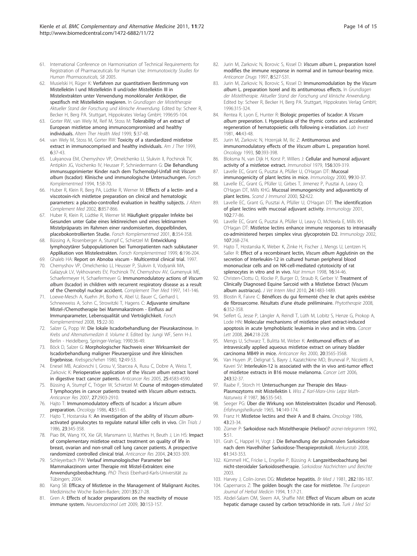- <span id="page-13-0"></span>61. International Conference on Harmonisation of Technical Requirements for Registration of Pharmaceuticals for Human Use: Immunotoxicity Studies for Human Pharmaceuticals, S8 2005.
- 62. Musielski H, Rüger K: Verfahren zur quantitativen Bestimmung von Mistellektin I und Mistellektin II und/oder Mistellektin III in Mistelextrakten unter Verwendung monoklonaler Antikörper, die spezifisch mit Mistellektin reagieren. In Grundlagen der Misteltherapie Aktueller Stand der Forschung und klinische Anwendung. Edited by: Scheer R, Becker H, Berg PA. Stuttgart, Hippokrates Verlag GmbH; 1996:95-104.
- 63. Gorter RW, van Wely M, Reif M, Stoss M: [Tolerability of an extract of](http://www.ncbi.nlm.nih.gov/pubmed/10550904?dopt=Abstract) [European mistletoe among immunocompromised and healthy](http://www.ncbi.nlm.nih.gov/pubmed/10550904?dopt=Abstract) [individuals.](http://www.ncbi.nlm.nih.gov/pubmed/10550904?dopt=Abstract) Altern Ther Health Med 1999, 5:37-48.
- 64. van Wely M, Stoss M, Gorter RW: [Toxicity of a standardized mistletoe](http://www.ncbi.nlm.nih.gov/pubmed/10423645?dopt=Abstract) [extract in immunocomprised and healthy individuals.](http://www.ncbi.nlm.nih.gov/pubmed/10423645?dopt=Abstract) Am J Ther 1999, 6:37-43.
- 65. Lukyanova EM, Chernyshov VP, Omelchenko LI, Slukvin II, Pochinok TV, Antipkin JG, Voichenko IV, Heusser P, Schniedermann G: Die Behandlung immunsupprimierter Kinder nach dem Tschernobyl-Unfall mit Viscum album (Iscador): Klinische und immunologische Untersuchungen. Forsch Komplementmed 1994, 1:58-70.
- 66. Huber R, Klein R, Berg PA, Lüdtke R, Werner M: [Effects of a lectin- and a](http://www.ncbi.nlm.nih.gov/pubmed/12614536?dopt=Abstract) [viscotoxin-rich mistletoe preparation on clinical and hematologic](http://www.ncbi.nlm.nih.gov/pubmed/12614536?dopt=Abstract) [parameters: a placebo-controlled evaluation in healthy subjects.](http://www.ncbi.nlm.nih.gov/pubmed/12614536?dopt=Abstract) J Altern Complement Med 2002, 8:857-866.
- 67. Huber R, Klein R, Lüdtke R, Werner M: Häufigkeit grippaler Infekte bei Gesunden unter Gabe eines lektinreichen und eines lektinarmen Mistelpräparats im Rahmen einer randomisierten, doppelblinden, placebokontrollierten Studie. Forsch Komplementmed 2001, 8:354-358.
- 68. Büssing A, Rosenberger A, Stumpf C, Schietzel M: Entwicklung lymphozytärer Subpopulationen bei Tumorpatienten nach subkutaner Applikation von Mistelextrakten. Forsch Komplementmed 1999, 6:196-204.
- 69. Ghaleb HA: Report on Abnoba viscum Multicentral clinical trial. 1997.
- 70. Chernyshov VP, Omelchenko LI, Heusser P, Slukvin II, Vodyanik MA, Galazyuk LV, Vykhovanets EV, Pochinok TV, Chernyshov AV, Gumenyuk ME, Schaefermeyer H, Schaefermeyer G: Immunomodulatory actions of Viscum album (Iscador) in children with recurrent respiratory disease as a result of the Chernobyl nuclear accident. Complement Ther Med 1997, 141-146.
- 71. Loewe-Mesch A, Kuehn JH, Borho K, Abel U, Bauer C, Gerhard I, Schneeweiss A, Sohn C, Strowitzki T, Hagens C: [Adjuvante simultane](http://www.ncbi.nlm.nih.gov/pubmed/18334811?dopt=Abstract) [Mistel-/Chemotherapie bei Mammakarzinom - Einfluss auf](http://www.ncbi.nlm.nih.gov/pubmed/18334811?dopt=Abstract) [Immunparameter, Lebensqualität und Verträglichkeit.](http://www.ncbi.nlm.nih.gov/pubmed/18334811?dopt=Abstract) Forsch Komplementmed 2008, 15:22-30.
- 72. Salzer G, Popp W: Die lokale Iscadorbehandlung der Pleurakarzinose. In Krebs und Alternativmedizin II. Volume II. Edited by: Jungi WF, Senn H-J. Berlin - Heidelberg, Springer-Verlag; 1990:36-49.
- 73. Böck D, Salzer G: Morphologischer Nachweis einer Wirksamkeit der Iscadorbehandlung maligner Pleuraergüsse und ihre klinischen Ergebnisse. Krebsgeschehen 1980, 12:49-53.
- 74. Enesel MB, Acalovschi I, Grosu V, Sbarcea A, Rusu C, Dobre A, Weiss T, Zarkovic K: [Perioperative application of the](http://www.ncbi.nlm.nih.gov/pubmed/16334146?dopt=Abstract) Viscum album extract Isorel [in digestive tract cancer patients.](http://www.ncbi.nlm.nih.gov/pubmed/16334146?dopt=Abstract) Anticancer Res 2005, 25:4583-4590.
- 75. Büssing A, Stumpf C, Tröger W, Schietzel M: [Course of mitogen-stimulated](http://www.ncbi.nlm.nih.gov/pubmed/17695469?dopt=Abstract) [T lymphocytes in cancer patients treated with](http://www.ncbi.nlm.nih.gov/pubmed/17695469?dopt=Abstract) Viscum album extracts. Anticancer Res 2007, 27:2903-2910.
- 76. Hajto T: [Immunomodulatory effects of Iscador: a](http://www.ncbi.nlm.nih.gov/pubmed/2433654?dopt=Abstract) Viscum album [preparation.](http://www.ncbi.nlm.nih.gov/pubmed/2433654?dopt=Abstract) Oncology 1986, 43:51-65.
- 77. Hajto T, Hostanska K: An investigation of the ability of Viscum albumactivated granulocytes to regulate natural killer cells in vivo. Clin Trials J 1986, 23:345-358.
- 78. Piao BK, Wang YX, Xie GR, Mansmann U, Matthes H, Beuth J, Lin HS: [Impact](http://www.ncbi.nlm.nih.gov/pubmed/15015612?dopt=Abstract) [of complementary mistletoe extract treatment on quality of life in](http://www.ncbi.nlm.nih.gov/pubmed/15015612?dopt=Abstract) [breast, ovarian and non-small cell lung cancer patients. A prospective](http://www.ncbi.nlm.nih.gov/pubmed/15015612?dopt=Abstract) [randomized controlled clinical trial.](http://www.ncbi.nlm.nih.gov/pubmed/15015612?dopt=Abstract) Anticancer Res 2004, 24:303-309.
- 79. Schleyerbach PW: Verlauf immunologischer Parameter bei Mammakarzinom unter Therapie mit Mistel-Extrakten: eine Anwendungsbeobachtung. PhD Thesis Eberhard-Karls-Universität zu Tübingen; 2004.
- 80. Kang SB: Efficacy of Mistletoe in the Management of Malignant Ascites. Medizinische Woche Baden-Baden; 2001:35:27-28.
- 81. Gren A: [Effects of Iscador preparations on the reactivity of mouse](http://www.ncbi.nlm.nih.gov/pubmed/19675519?dopt=Abstract) [immune system.](http://www.ncbi.nlm.nih.gov/pubmed/19675519?dopt=Abstract) Neuroendocrinol Lett 2009, 30:153-157.
- 82. Jurin M, Zarkovic N, Borovic S, Kissel D: Viscum album L, preparation Isorel [modifies the immune response in normal and in tumour-bearing mice.](http://www.ncbi.nlm.nih.gov/pubmed/9376635?dopt=Abstract) Anticancer Drugs 1997, 8:S27-S31.
- 83. Jurin M, Zarkovic N, Borovic S, Kissel D: Immunomodulation by the Viscum album L. preparation Isorel and its antitumorous effects. In Grundlagen der Misteltherapie. Aktueller Stand der Forschung und klinische Anwendung. Edited by: Scheer R, Becker H, Berg PA. Stuttgart, Hippokrates Verlag GmbH; 1996:315-324.
- 84. Rentea R, Lyon E, Hunter R: [Biologic properties of Iscador: A](http://www.ncbi.nlm.nih.gov/pubmed/7453129?dopt=Abstract) Viscum album [preperation. I. Hyperplasia of the thymic cortex and accelerated](http://www.ncbi.nlm.nih.gov/pubmed/7453129?dopt=Abstract) [regeneration of hematopoietic cells following x-irradiation.](http://www.ncbi.nlm.nih.gov/pubmed/7453129?dopt=Abstract) Lab Invest 1981, 44:43-48.
- 85. Jurin M, Zarkovic N, Hrzenjak M, Ilic Z: [Antitumorous and](http://www.ncbi.nlm.nih.gov/pubmed/8233280?dopt=Abstract) [immunomodulatory effects of the](http://www.ncbi.nlm.nih.gov/pubmed/8233280?dopt=Abstract) Viscum album L. preparation Isorel. Oncology 1993, 50:393-398.
- 86. Bloksma N, van Dijk H, Korst P, Willers J: [Cellular and humoral adjuvant](http://www.ncbi.nlm.nih.gov/pubmed/575523?dopt=Abstract) [activity of a mistletoe extract.](http://www.ncbi.nlm.nih.gov/pubmed/575523?dopt=Abstract) Immunobiol 1979, 156:309-319.
- 87. Lavelle EC, Grant G, Pusztai A, Pfüller U, O'Hagan DT: [Mucosal](http://www.ncbi.nlm.nih.gov/pubmed/10651938?dopt=Abstract) [immunogenicity of plant lectins in mice.](http://www.ncbi.nlm.nih.gov/pubmed/10651938?dopt=Abstract) Immunology 2000, 99:30-37.
- 88. Lavelle EC, Grant G, Pfüller U, Girbes T, Jimenez P, Pusztai A, Leavy O, O'Hagan DT, Mills KHG: Mucosal immunogenicity and adjuvanticity of plant lectins. Scand J Immunol 2000, 52:422.
- 89. Lavelle EC, Grant G, Pusztai A, Pfüller U, O'Hagan DT: [The identification](http://www.ncbi.nlm.nih.gov/pubmed/11168640?dopt=Abstract) [of plant lectins with mucosal adjuvant activity.](http://www.ncbi.nlm.nih.gov/pubmed/11168640?dopt=Abstract) Immunology 2001, 102:77-86.
- 90. Lavelle EC, Grant G, Pusztai A, Pfüller U, Leavy O, McNeela E, Mills KH, O'Hagan DT: [Mistletoe lectins enhance immune responses to intranasally](http://www.ncbi.nlm.nih.gov/pubmed/12383207?dopt=Abstract) [co-administered herpes simplex virus glycoprotein D2.](http://www.ncbi.nlm.nih.gov/pubmed/12383207?dopt=Abstract) Immunology 2002, 107:268-274.
- 91. Hajto T, Hostanska K, Weber K, Zinke H, Fischer J, Mengs U, Lentzen H, Saller R: [Effect of a recombinant lectin,](http://www.ncbi.nlm.nih.gov/pubmed/9789123?dopt=Abstract) Viscum album Agglutinin on the [secretion of Interleukin-12 in cultured human peripheral blood](http://www.ncbi.nlm.nih.gov/pubmed/9789123?dopt=Abstract) [mononuclear cells and on NK-cell-mediated cytotoxicity of rat](http://www.ncbi.nlm.nih.gov/pubmed/9789123?dopt=Abstract) [splenocytes in vitro and in vivo.](http://www.ncbi.nlm.nih.gov/pubmed/9789123?dopt=Abstract) Nat Immun 1998, 16:34-46.
- 92. Christen-Clottu O, Klocke P, Burger D, Straub R, Gerber V: [Treatment of](http://www.ncbi.nlm.nih.gov/pubmed/21039860?dopt=Abstract) [Clinically Diagnosed Equine Sarcoid with a Mistletoe Extract \(Viscum](http://www.ncbi.nlm.nih.gov/pubmed/21039860?dopt=Abstract) [album austriacus\).](http://www.ncbi.nlm.nih.gov/pubmed/21039860?dopt=Abstract) J Vet Intern Med 2010, 24:1483-1489.
- 93. Blostin R, Faivre C: Bénéfices du qui fermenté chez le chat après exérèse de fibrosarcome. Résultats d'une étude préliminaire. Phytotherapie 2008, 6:352-358.
- 94. Seifert G, Jesse P, Längler A, Reindl T, Lüth M, Lobitz S, Henze G, Prokop A, Lode HN: [Molecular mechanisms of mistletoe plant extract-induced](http://www.ncbi.nlm.nih.gov/pubmed/18314258?dopt=Abstract) [apoptosis in acute lymphoblastic leukemia in vivo and in vitro.](http://www.ncbi.nlm.nih.gov/pubmed/18314258?dopt=Abstract) Cancer Lett 2008, 264:218-228.
- 95. Mengs U, Schwarz T, Bulitta M, Weber K: [Antitumoral effects of an](http://www.ncbi.nlm.nih.gov/pubmed/11131663?dopt=Abstract) [intravesically applied aqueous mistletoe extract on urinary bladder](http://www.ncbi.nlm.nih.gov/pubmed/11131663?dopt=Abstract) [carcinoma MB49 in mice.](http://www.ncbi.nlm.nih.gov/pubmed/11131663?dopt=Abstract) Anticancer Res 2000, 20:3565-3568.
- 96. Van Huyen JP, Delignat S, Bayry J, Kazatchkine MD, Bruneval P, Nicoletti A, Kaveri SV: [Interleukin-12 is associated with the in vivo anti-tumor effect](http://www.ncbi.nlm.nih.gov/pubmed/16412563?dopt=Abstract) [of mistletoe extracts in B16 mouse melanoma.](http://www.ncbi.nlm.nih.gov/pubmed/16412563?dopt=Abstract) Cancer Lett 2006, 243:32-37.
- 97. Raabe F, Storch H: Untersuchungen zur Therapie des Maus-Plasmozytoms mit Mistellektin I. Wiss Z Karl-Marx-Univ Leipz Math-Naturwiss R 1987, 36:535-543.
- Seeger PG: Über die Wirkung von Mistelextrakten (Iscador und Plenosol). Erfahrungsheilkunde 1965, 14:149-174.
- 99. Franz H: [Mistletoe lectins and their A and B chains.](http://www.ncbi.nlm.nih.gov/pubmed/3941799?dopt=Abstract) Oncology 1986, 43:23-34.
- 100. Zürner P: Sarkoidose nach Misteltherapie (Helixor)? arznei-telegramm 1992, 5:51.
- 101. Grah C, Happel H, Vogt J: Die Behandlung der pulmonalen Sarkoidose nach dem Havelhöher Sarkoidose-Therapieprotokoll. Merkurstab 2008, 61:343-353.
- 102. Kümmell HC, Fricke L, Engelke P, Büssing A: Langzeitbeobachtung bei nicht-steroidaler Sarkoidosetherapie. Sarkoidose Nachrichten und Berichte 2003.
- 103. Harvey J, Colin-Jones DG: Mistletoe hepatitis. Br Med J 1981, 282:186-187.
- 104. Capernaros Z: The golden bough: the case for mistletoe. The European Journal of Herbal Medicin 1994, 1:17-21.
- 105. Abdel-Salam OM, Sleem AA, Shaffie NM: Effect of Viscum album on acute hepatic damage caused by carbon tetrachloride in rats. Turk J Med Sci